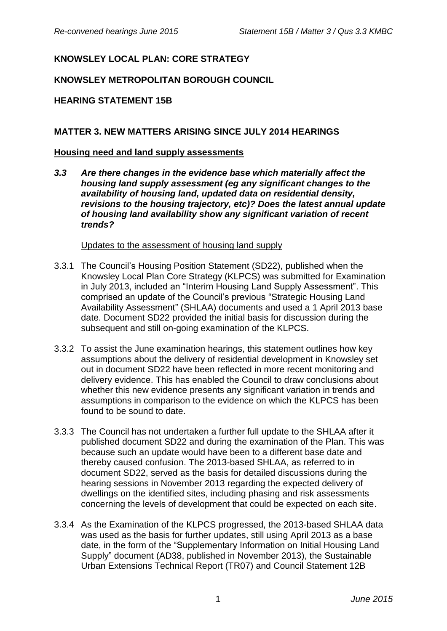## **KNOWSLEY LOCAL PLAN: CORE STRATEGY**

## **KNOWSLEY METROPOLITAN BOROUGH COUNCIL**

### **HEARING STATEMENT 15B**

### **MATTER 3. NEW MATTERS ARISING SINCE JULY 2014 HEARINGS**

#### **Housing need and land supply assessments**

*3.3 Are there changes in the evidence base which materially affect the housing land supply assessment (eg any significant changes to the availability of housing land, updated data on residential density, revisions to the housing trajectory, etc)? Does the latest annual update of housing land availability show any significant variation of recent trends?*

#### Updates to the assessment of housing land supply

- 3.3.1 The Council's Housing Position Statement (SD22), published when the Knowsley Local Plan Core Strategy (KLPCS) was submitted for Examination in July 2013, included an "Interim Housing Land Supply Assessment". This comprised an update of the Council's previous "Strategic Housing Land Availability Assessment" (SHLAA) documents and used a 1 April 2013 base date. Document SD22 provided the initial basis for discussion during the subsequent and still on-going examination of the KLPCS.
- 3.3.2 To assist the June examination hearings, this statement outlines how key assumptions about the delivery of residential development in Knowsley set out in document SD22 have been reflected in more recent monitoring and delivery evidence. This has enabled the Council to draw conclusions about whether this new evidence presents any significant variation in trends and assumptions in comparison to the evidence on which the KLPCS has been found to be sound to date.
- 3.3.3 The Council has not undertaken a further full update to the SHLAA after it published document SD22 and during the examination of the Plan. This was because such an update would have been to a different base date and thereby caused confusion. The 2013-based SHLAA, as referred to in document SD22, served as the basis for detailed discussions during the hearing sessions in November 2013 regarding the expected delivery of dwellings on the identified sites, including phasing and risk assessments concerning the levels of development that could be expected on each site.
- 3.3.4 As the Examination of the KLPCS progressed, the 2013-based SHLAA data was used as the basis for further updates, still using April 2013 as a base date, in the form of the "Supplementary Information on Initial Housing Land Supply" document (AD38, published in November 2013), the Sustainable Urban Extensions Technical Report (TR07) and Council Statement 12B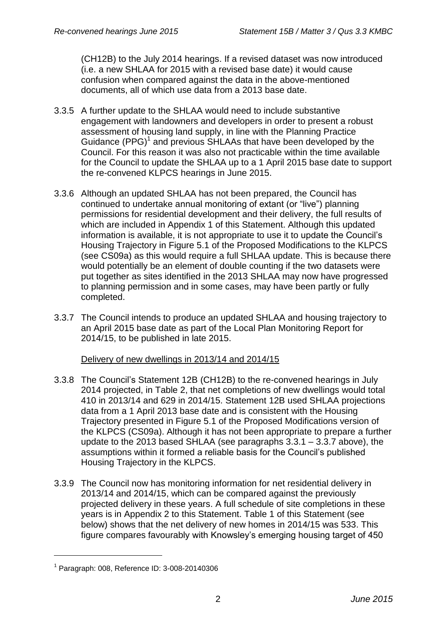(CH12B) to the July 2014 hearings. If a revised dataset was now introduced (i.e. a new SHLAA for 2015 with a revised base date) it would cause confusion when compared against the data in the above-mentioned documents, all of which use data from a 2013 base date.

- 3.3.5 A further update to the SHLAA would need to include substantive engagement with landowners and developers in order to present a robust assessment of housing land supply, in line with the Planning Practice Guidance  $(PPG)^1$  and previous SHLAAs that have been developed by the Council. For this reason it was also not practicable within the time available for the Council to update the SHLAA up to a 1 April 2015 base date to support the re-convened KLPCS hearings in June 2015.
- 3.3.6 Although an updated SHLAA has not been prepared, the Council has continued to undertake annual monitoring of extant (or "live") planning permissions for residential development and their delivery, the full results of which are included in Appendix 1 of this Statement. Although this updated information is available, it is not appropriate to use it to update the Council's Housing Trajectory in Figure 5.1 of the Proposed Modifications to the KLPCS (see CS09a) as this would require a full SHLAA update. This is because there would potentially be an element of double counting if the two datasets were put together as sites identified in the 2013 SHLAA may now have progressed to planning permission and in some cases, may have been partly or fully completed.
- 3.3.7 The Council intends to produce an updated SHLAA and housing trajectory to an April 2015 base date as part of the Local Plan Monitoring Report for 2014/15, to be published in late 2015.

Delivery of new dwellings in 2013/14 and 2014/15

- 3.3.8 The Council's Statement 12B (CH12B) to the re-convened hearings in July 2014 projected, in Table 2, that net completions of new dwellings would total 410 in 2013/14 and 629 in 2014/15. Statement 12B used SHLAA projections data from a 1 April 2013 base date and is consistent with the Housing Trajectory presented in Figure 5.1 of the Proposed Modifications version of the KLPCS (CS09a). Although it has not been appropriate to prepare a further update to the 2013 based SHLAA (see paragraphs 3.3.1 – 3.3.7 above), the assumptions within it formed a reliable basis for the Council's published Housing Trajectory in the KLPCS.
- 3.3.9 The Council now has monitoring information for net residential delivery in 2013/14 and 2014/15, which can be compared against the previously projected delivery in these years. A full schedule of site completions in these years is in Appendix 2 to this Statement. Table 1 of this Statement (see below) shows that the net delivery of new homes in 2014/15 was 533. This figure compares favourably with Knowsley's emerging housing target of 450

1

<sup>1</sup> Paragraph: 008, Reference ID: 3-008-20140306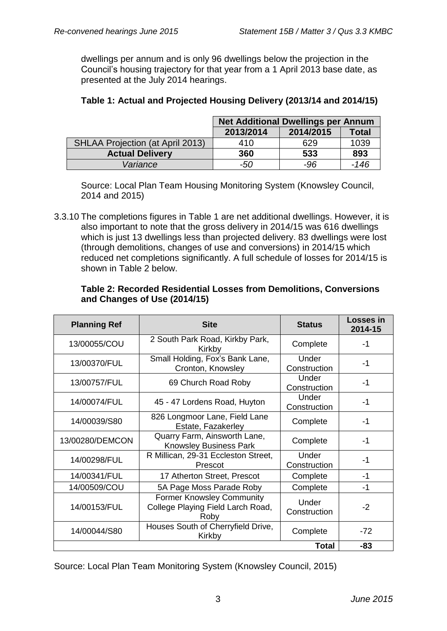dwellings per annum and is only 96 dwellings below the projection in the Council's housing trajectory for that year from a 1 April 2013 base date, as presented at the July 2014 hearings.

|                                         | <b>Net Additional Dwellings per Annum</b> |           |        |
|-----------------------------------------|-------------------------------------------|-----------|--------|
|                                         | 2013/2014                                 | 2014/2015 | Total  |
| <b>SHLAA Projection (at April 2013)</b> | 410                                       | 629       | 1039   |
| <b>Actual Delivery</b>                  | 360                                       | 533       | 893    |
| Variance                                | -50                                       | -96       | $-146$ |

## **Table 1: Actual and Projected Housing Delivery (2013/14 and 2014/15)**

Source: Local Plan Team Housing Monitoring System (Knowsley Council, 2014 and 2015)

3.3.10 The completions figures in Table 1 are net additional dwellings. However, it is also important to note that the gross delivery in 2014/15 was 616 dwellings which is just 13 dwellings less than projected delivery. 83 dwellings were lost (through demolitions, changes of use and conversions) in 2014/15 which reduced net completions significantly. A full schedule of losses for 2014/15 is shown in Table 2 below.

### **Table 2: Recorded Residential Losses from Demolitions, Conversions and Changes of Use (2014/15)**

| <b>Planning Ref</b>                                                 | <b>Site</b>                                                                   | <b>Status</b>         | <b>Losses in</b><br>2014-15 |
|---------------------------------------------------------------------|-------------------------------------------------------------------------------|-----------------------|-----------------------------|
| 13/00055/COU                                                        | 2 South Park Road, Kirkby Park,<br>Kirkby                                     | Complete              | -1                          |
| 13/00370/FUL                                                        | Small Holding, Fox's Bank Lane,<br>Cronton, Knowsley                          | Under<br>Construction | $-1$                        |
| 13/00757/FUL                                                        | 69 Church Road Roby                                                           |                       | $-1$                        |
| 14/00074/FUL                                                        | 45 - 47 Lordens Road, Huyton                                                  | Under<br>Construction | -1                          |
| 826 Longmoor Lane, Field Lane<br>14/00039/S80<br>Estate, Fazakerley |                                                                               | Complete              | $-1$                        |
| 13/00280/DEMCON                                                     | Quarry Farm, Ainsworth Lane,<br><b>Knowsley Business Park</b>                 |                       | $-1$                        |
| 14/00298/FUL                                                        | R Millican, 29-31 Eccleston Street,<br>Prescot                                | Under<br>Construction | $-1$                        |
| 14/00341/FUL                                                        | 17 Atherton Street, Prescot                                                   | Complete              | $-1$                        |
| 14/00509/COU                                                        | 5A Page Moss Parade Roby                                                      | Complete              | -1                          |
| 14/00153/FUL                                                        | <b>Former Knowsley Community</b><br>College Playing Field Larch Road,<br>Roby | Under<br>Construction | $-2$                        |
| Houses South of Cherryfield Drive,<br>14/00044/S80<br>Kirkby        |                                                                               | Complete              | $-72$                       |
|                                                                     |                                                                               | <b>Total</b>          | -83                         |

Source: Local Plan Team Monitoring System (Knowsley Council, 2015)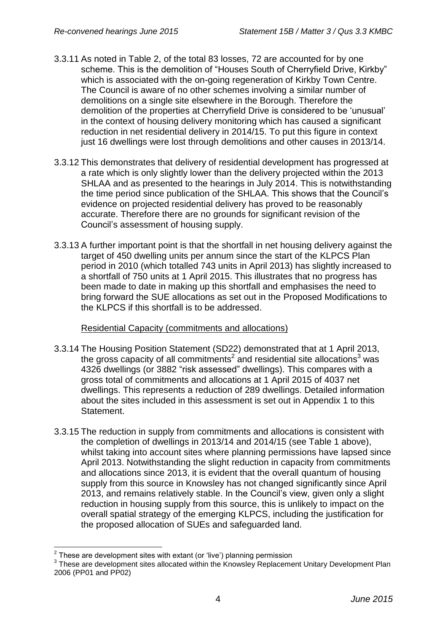- 3.3.11 As noted in Table 2, of the total 83 losses, 72 are accounted for by one scheme. This is the demolition of "Houses South of Cherryfield Drive, Kirkby" which is associated with the on-going regeneration of Kirkby Town Centre. The Council is aware of no other schemes involving a similar number of demolitions on a single site elsewhere in the Borough. Therefore the demolition of the properties at Cherryfield Drive is considered to be 'unusual' in the context of housing delivery monitoring which has caused a significant reduction in net residential delivery in 2014/15. To put this figure in context just 16 dwellings were lost through demolitions and other causes in 2013/14.
- 3.3.12 This demonstrates that delivery of residential development has progressed at a rate which is only slightly lower than the delivery projected within the 2013 SHLAA and as presented to the hearings in July 2014. This is notwithstanding the time period since publication of the SHLAA. This shows that the Council's evidence on projected residential delivery has proved to be reasonably accurate. Therefore there are no grounds for significant revision of the Council's assessment of housing supply.
- 3.3.13 A further important point is that the shortfall in net housing delivery against the target of 450 dwelling units per annum since the start of the KLPCS Plan period in 2010 (which totalled 743 units in April 2013) has slightly increased to a shortfall of 750 units at 1 April 2015. This illustrates that no progress has been made to date in making up this shortfall and emphasises the need to bring forward the SUE allocations as set out in the Proposed Modifications to the KLPCS if this shortfall is to be addressed.

Residential Capacity (commitments and allocations)

- 3.3.14 The Housing Position Statement (SD22) demonstrated that at 1 April 2013, the gross capacity of all commitments<sup>2</sup> and residential site allocations<sup>3</sup> was 4326 dwellings (or 3882 "risk assessed" dwellings). This compares with a gross total of commitments and allocations at 1 April 2015 of 4037 net dwellings. This represents a reduction of 289 dwellings. Detailed information about the sites included in this assessment is set out in Appendix 1 to this Statement.
- 3.3.15 The reduction in supply from commitments and allocations is consistent with the completion of dwellings in 2013/14 and 2014/15 (see Table 1 above), whilst taking into account sites where planning permissions have lapsed since April 2013. Notwithstanding the slight reduction in capacity from commitments and allocations since 2013, it is evident that the overall quantum of housing supply from this source in Knowsley has not changed significantly since April 2013, and remains relatively stable. In the Council's view, given only a slight reduction in housing supply from this source, this is unlikely to impact on the overall spatial strategy of the emerging KLPCS, including the justification for the proposed allocation of SUEs and safeguarded land.

1

 $2$  These are development sites with extant (or 'live') planning permission

<sup>&</sup>lt;sup>3</sup> These are development sites allocated within the Knowsley Replacement Unitary Development Plan 2006 (PP01 and PP02)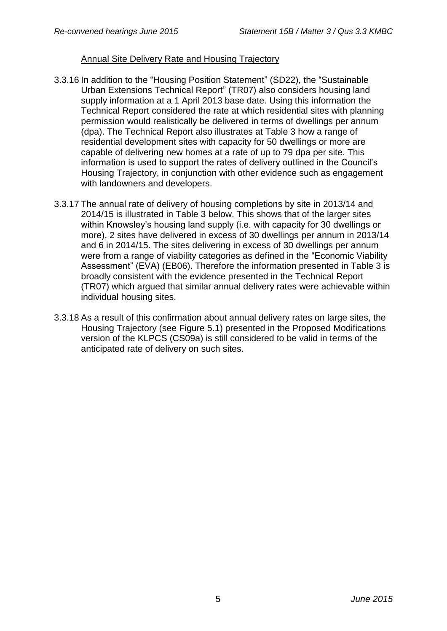### Annual Site Delivery Rate and Housing Trajectory

- 3.3.16 In addition to the "Housing Position Statement" (SD22), the "Sustainable Urban Extensions Technical Report" (TR07) also considers housing land supply information at a 1 April 2013 base date. Using this information the Technical Report considered the rate at which residential sites with planning permission would realistically be delivered in terms of dwellings per annum (dpa). The Technical Report also illustrates at Table 3 how a range of residential development sites with capacity for 50 dwellings or more are capable of delivering new homes at a rate of up to 79 dpa per site. This information is used to support the rates of delivery outlined in the Council's Housing Trajectory, in conjunction with other evidence such as engagement with landowners and developers.
- 3.3.17 The annual rate of delivery of housing completions by site in 2013/14 and 2014/15 is illustrated in Table 3 below. This shows that of the larger sites within Knowsley's housing land supply (i.e. with capacity for 30 dwellings or more), 2 sites have delivered in excess of 30 dwellings per annum in 2013/14 and 6 in 2014/15. The sites delivering in excess of 30 dwellings per annum were from a range of viability categories as defined in the "Economic Viability Assessment" (EVA) (EB06). Therefore the information presented in Table 3 is broadly consistent with the evidence presented in the Technical Report (TR07) which argued that similar annual delivery rates were achievable within individual housing sites.
- 3.3.18 As a result of this confirmation about annual delivery rates on large sites, the Housing Trajectory (see Figure 5.1) presented in the Proposed Modifications version of the KLPCS (CS09a) is still considered to be valid in terms of the anticipated rate of delivery on such sites.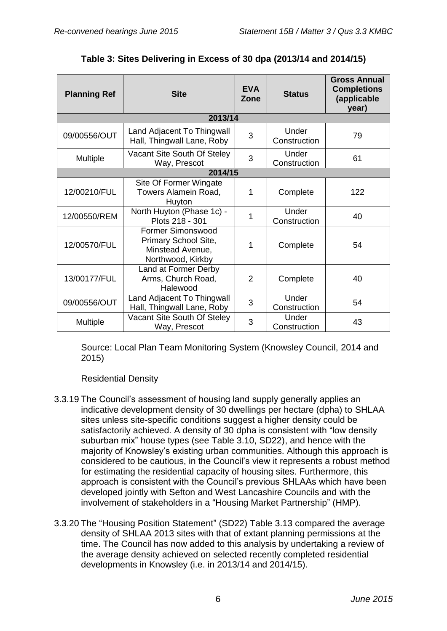| <b>Planning Ref</b> | <b>Site</b>                                                                               | <b>EVA</b><br>Zone | <b>Status</b>         | <b>Gross Annual</b><br><b>Completions</b><br>(applicable<br>year) |  |  |  |  |
|---------------------|-------------------------------------------------------------------------------------------|--------------------|-----------------------|-------------------------------------------------------------------|--|--|--|--|
|                     | 2013/14                                                                                   |                    |                       |                                                                   |  |  |  |  |
| 09/00556/OUT        | Land Adjacent To Thingwall<br>Hall, Thingwall Lane, Roby                                  | 3                  | Under<br>Construction | 79                                                                |  |  |  |  |
| Multiple            | Vacant Site South Of Steley<br>Way, Prescot                                               | 3                  | Under<br>Construction | 61                                                                |  |  |  |  |
| 2014/15             |                                                                                           |                    |                       |                                                                   |  |  |  |  |
| 12/00210/FUL        | Site Of Former Wingate<br>Towers Alamein Road,<br>Huyton                                  | 1                  | Complete              | 122                                                               |  |  |  |  |
| 12/00550/REM        | North Huyton (Phase 1c) -<br>Plots 218 - 301                                              | 1                  | Under<br>Construction | 40                                                                |  |  |  |  |
| 12/00570/FUL        | <b>Former Simonswood</b><br>Primary School Site,<br>Minstead Avenue,<br>Northwood, Kirkby | 1                  | Complete              | 54                                                                |  |  |  |  |
| 13/00177/FUL        | Land at Former Derby<br>Arms, Church Road,<br>Halewood                                    | $\overline{2}$     | Complete              | 40                                                                |  |  |  |  |
| 09/00556/OUT        | Land Adjacent To Thingwall<br>Hall, Thingwall Lane, Roby                                  | 3                  | Under<br>Construction | 54                                                                |  |  |  |  |
| Multiple            | Vacant Site South Of Steley<br>Way, Prescot                                               | 3                  | Under<br>Construction | 43                                                                |  |  |  |  |

# **Table 3: Sites Delivering in Excess of 30 dpa (2013/14 and 2014/15)**

Source: Local Plan Team Monitoring System (Knowsley Council, 2014 and 2015)

## Residential Density

- 3.3.19 The Council's assessment of housing land supply generally applies an indicative development density of 30 dwellings per hectare (dpha) to SHLAA sites unless site-specific conditions suggest a higher density could be satisfactorily achieved. A density of 30 dpha is consistent with "low density suburban mix" house types (see Table 3.10, SD22), and hence with the majority of Knowsley's existing urban communities. Although this approach is considered to be cautious, in the Council's view it represents a robust method for estimating the residential capacity of housing sites. Furthermore, this approach is consistent with the Council's previous SHLAAs which have been developed jointly with Sefton and West Lancashire Councils and with the involvement of stakeholders in a "Housing Market Partnership" (HMP).
- 3.3.20 The "Housing Position Statement" (SD22) Table 3.13 compared the average density of SHLAA 2013 sites with that of extant planning permissions at the time. The Council has now added to this analysis by undertaking a review of the average density achieved on selected recently completed residential developments in Knowsley (i.e. in 2013/14 and 2014/15).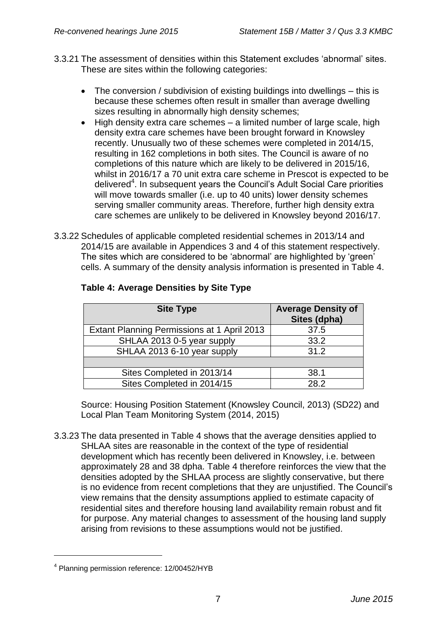- 3.3.21 The assessment of densities within this Statement excludes 'abnormal' sites. These are sites within the following categories:
	- The conversion / subdivision of existing buildings into dwellings this is because these schemes often result in smaller than average dwelling sizes resulting in abnormally high density schemes;
	- High density extra care schemes a limited number of large scale, high density extra care schemes have been brought forward in Knowsley recently. Unusually two of these schemes were completed in 2014/15, resulting in 162 completions in both sites. The Council is aware of no completions of this nature which are likely to be delivered in 2015/16, whilst in 2016/17 a 70 unit extra care scheme in Prescot is expected to be delivered<sup>4</sup>. In subsequent years the Council's Adult Social Care priorities will move towards smaller (i.e. up to 40 units) lower density schemes serving smaller community areas. Therefore, further high density extra care schemes are unlikely to be delivered in Knowsley beyond 2016/17.
- 3.3.22 Schedules of applicable completed residential schemes in 2013/14 and 2014/15 are available in Appendices 3 and 4 of this statement respectively. The sites which are considered to be 'abnormal' are highlighted by 'green' cells. A summary of the density analysis information is presented in Table 4.

| <b>Site Type</b>                            | <b>Average Density of</b><br>Sites (dpha) |
|---------------------------------------------|-------------------------------------------|
| Extant Planning Permissions at 1 April 2013 | 37.5                                      |
| SHLAA 2013 0-5 year supply                  | 33.2                                      |
| SHLAA 2013 6-10 year supply                 | 31.2                                      |
|                                             |                                           |
| Sites Completed in 2013/14                  | 38.1                                      |
| Sites Completed in 2014/15                  | 28.2                                      |

## **Table 4: Average Densities by Site Type**

Source: Housing Position Statement (Knowsley Council, 2013) (SD22) and Local Plan Team Monitoring System (2014, 2015)

3.3.23 The data presented in Table 4 shows that the average densities applied to SHLAA sites are reasonable in the context of the type of residential development which has recently been delivered in Knowsley, i.e. between approximately 28 and 38 dpha. Table 4 therefore reinforces the view that the densities adopted by the SHLAA process are slightly conservative, but there is no evidence from recent completions that they are unjustified. The Council's view remains that the density assumptions applied to estimate capacity of residential sites and therefore housing land availability remain robust and fit for purpose. Any material changes to assessment of the housing land supply arising from revisions to these assumptions would not be justified.

1

<sup>4</sup> Planning permission reference: 12/00452/HYB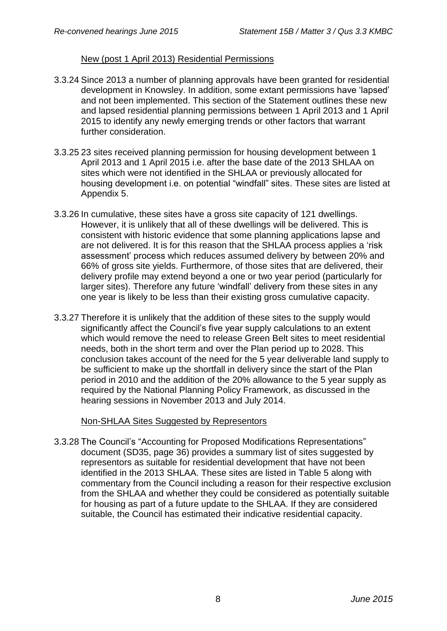### New (post 1 April 2013) Residential Permissions

- 3.3.24 Since 2013 a number of planning approvals have been granted for residential development in Knowsley. In addition, some extant permissions have 'lapsed' and not been implemented. This section of the Statement outlines these new and lapsed residential planning permissions between 1 April 2013 and 1 April 2015 to identify any newly emerging trends or other factors that warrant further consideration.
- 3.3.25 23 sites received planning permission for housing development between 1 April 2013 and 1 April 2015 i.e. after the base date of the 2013 SHLAA on sites which were not identified in the SHLAA or previously allocated for housing development i.e. on potential "windfall" sites. These sites are listed at Appendix 5.
- 3.3.26 In cumulative, these sites have a gross site capacity of 121 dwellings. However, it is unlikely that all of these dwellings will be delivered. This is consistent with historic evidence that some planning applications lapse and are not delivered. It is for this reason that the SHLAA process applies a 'risk assessment' process which reduces assumed delivery by between 20% and 66% of gross site yields. Furthermore, of those sites that are delivered, their delivery profile may extend beyond a one or two year period (particularly for larger sites). Therefore any future 'windfall' delivery from these sites in any one year is likely to be less than their existing gross cumulative capacity.
- 3.3.27 Therefore it is unlikely that the addition of these sites to the supply would significantly affect the Council's five year supply calculations to an extent which would remove the need to release Green Belt sites to meet residential needs, both in the short term and over the Plan period up to 2028. This conclusion takes account of the need for the 5 year deliverable land supply to be sufficient to make up the shortfall in delivery since the start of the Plan period in 2010 and the addition of the 20% allowance to the 5 year supply as required by the National Planning Policy Framework, as discussed in the hearing sessions in November 2013 and July 2014.

### Non-SHLAA Sites Suggested by Representors

3.3.28 The Council's "Accounting for Proposed Modifications Representations" document (SD35, page 36) provides a summary list of sites suggested by representors as suitable for residential development that have not been identified in the 2013 SHLAA. These sites are listed in Table 5 along with commentary from the Council including a reason for their respective exclusion from the SHLAA and whether they could be considered as potentially suitable for housing as part of a future update to the SHLAA. If they are considered suitable, the Council has estimated their indicative residential capacity.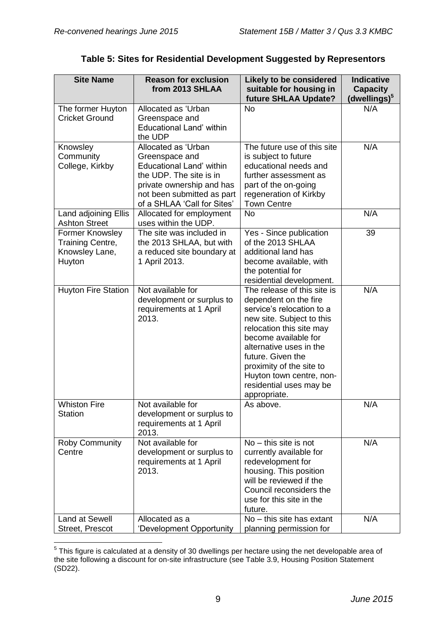| <b>Site Name</b>                                                | <b>Reason for exclusion</b><br>from 2013 SHLAA                                                                                                                                                | <b>Likely to be considered</b><br>suitable for housing in<br>future SHLAA Update?                                                                                                                                                                                                                                     | <b>Indicative</b><br><b>Capacity</b><br>(dwellings) <sup>5</sup> |
|-----------------------------------------------------------------|-----------------------------------------------------------------------------------------------------------------------------------------------------------------------------------------------|-----------------------------------------------------------------------------------------------------------------------------------------------------------------------------------------------------------------------------------------------------------------------------------------------------------------------|------------------------------------------------------------------|
| The former Huyton<br><b>Cricket Ground</b>                      | Allocated as 'Urban<br>Greenspace and<br>Educational Land' within<br>the UDP                                                                                                                  | <b>No</b>                                                                                                                                                                                                                                                                                                             | N/A                                                              |
| Knowsley<br>Community<br>College, Kirkby                        | Allocated as 'Urban<br>Greenspace and<br><b>Educational Land' within</b><br>the UDP. The site is in<br>private ownership and has<br>not been submitted as part<br>of a SHLAA 'Call for Sites' | The future use of this site<br>is subject to future<br>educational needs and<br>further assessment as<br>part of the on-going<br>regeneration of Kirkby<br><b>Town Centre</b>                                                                                                                                         | N/A                                                              |
| Land adjoining Ellis<br><b>Ashton Street</b>                    | Allocated for employment<br>uses within the UDP.                                                                                                                                              | <b>No</b>                                                                                                                                                                                                                                                                                                             | N/A                                                              |
| Former Knowsley<br>Training Centre,<br>Knowsley Lane,<br>Huyton | The site was included in<br>the 2013 SHLAA, but with<br>a reduced site boundary at<br>1 April 2013.                                                                                           | Yes - Since publication<br>of the 2013 SHLAA<br>additional land has<br>become available, with<br>the potential for<br>residential development.                                                                                                                                                                        | 39                                                               |
| <b>Huyton Fire Station</b>                                      | Not available for<br>development or surplus to<br>requirements at 1 April<br>2013.                                                                                                            | The release of this site is<br>dependent on the fire<br>service's relocation to a<br>new site. Subject to this<br>relocation this site may<br>become available for<br>alternative uses in the<br>future. Given the<br>proximity of the site to<br>Huyton town centre, non-<br>residential uses may be<br>appropriate. | N/A                                                              |
| <b>Whiston Fire</b><br><b>Station</b>                           | Not available for<br>development or surplus to<br>requirements at 1 April<br>2013.                                                                                                            | As above.                                                                                                                                                                                                                                                                                                             | N/A                                                              |
| Roby Community<br>Centre                                        | Not available for<br>development or surplus to<br>requirements at 1 April<br>2013.                                                                                                            | $No - this site is not$<br>currently available for<br>redevelopment for<br>housing. This position<br>will be reviewed if the<br>Council reconsiders the<br>use for this site in the<br>future.                                                                                                                        | N/A                                                              |
| Land at Sewell<br>Street, Prescot                               | Allocated as a<br>'Development Opportunity                                                                                                                                                    | No - this site has extant<br>planning permission for                                                                                                                                                                                                                                                                  | N/A                                                              |

## **Table 5: Sites for Residential Development Suggested by Representors**

 5 This figure is calculated at a density of 30 dwellings per hectare using the net developable area of the site following a discount for on-site infrastructure (see Table 3.9, Housing Position Statement (SD22).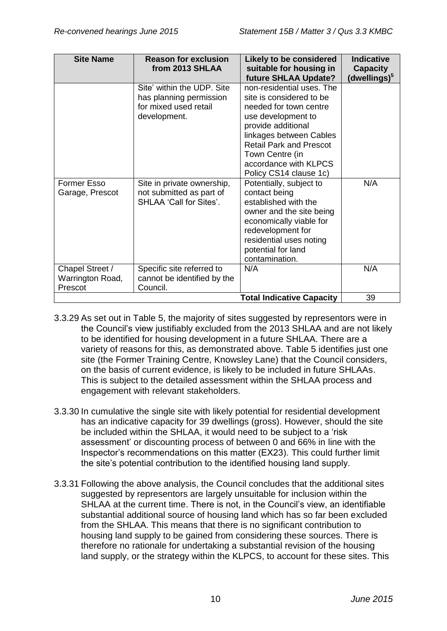| <b>Site Name</b>                               | <b>Reason for exclusion</b>                                                                    | <b>Likely to be considered</b>                                                                                                                                                                                                                                 | <b>Indicative</b>                           |
|------------------------------------------------|------------------------------------------------------------------------------------------------|----------------------------------------------------------------------------------------------------------------------------------------------------------------------------------------------------------------------------------------------------------------|---------------------------------------------|
|                                                | from 2013 SHLAA                                                                                | suitable for housing in<br><b>future SHLAA Update?</b>                                                                                                                                                                                                         | <b>Capacity</b><br>(dwellings) <sup>5</sup> |
|                                                | Site' within the UDP. Site<br>has planning permission<br>for mixed used retail<br>development. | non-residential uses. The<br>site is considered to be<br>needed for town centre<br>use development to<br>provide additional<br>linkages between Cables<br><b>Retail Park and Prescot</b><br>Town Centre (in<br>accordance with KLPCS<br>Policy CS14 clause 1c) |                                             |
| Former Esso<br>Garage, Prescot                 | Site in private ownership,<br>not submitted as part of<br>SHLAA 'Call for Sites'.              | Potentially, subject to<br>contact being<br>established with the<br>owner and the site being<br>economically viable for<br>redevelopment for<br>residential uses noting<br>potential for land<br>contamination.                                                | N/A                                         |
| Chapel Street /<br>Warrington Road,<br>Prescot | Specific site referred to<br>cannot be identified by the<br>Council.                           | N/A                                                                                                                                                                                                                                                            | N/A                                         |
|                                                |                                                                                                | <b>Total Indicative Capacity</b>                                                                                                                                                                                                                               | 39                                          |

- 3.3.29 As set out in Table 5, the majority of sites suggested by representors were in the Council's view justifiably excluded from the 2013 SHLAA and are not likely to be identified for housing development in a future SHLAA. There are a variety of reasons for this, as demonstrated above. Table 5 identifies just one site (the Former Training Centre, Knowsley Lane) that the Council considers, on the basis of current evidence, is likely to be included in future SHLAAs. This is subject to the detailed assessment within the SHLAA process and engagement with relevant stakeholders.
- 3.3.30 In cumulative the single site with likely potential for residential development has an indicative capacity for 39 dwellings (gross). However, should the site be included within the SHLAA, it would need to be subject to a 'risk assessment' or discounting process of between 0 and 66% in line with the Inspector's recommendations on this matter (EX23). This could further limit the site's potential contribution to the identified housing land supply.
- 3.3.31 Following the above analysis, the Council concludes that the additional sites suggested by representors are largely unsuitable for inclusion within the SHLAA at the current time. There is not, in the Council's view, an identifiable substantial additional source of housing land which has so far been excluded from the SHLAA. This means that there is no significant contribution to housing land supply to be gained from considering these sources. There is therefore no rationale for undertaking a substantial revision of the housing land supply, or the strategy within the KLPCS, to account for these sites. This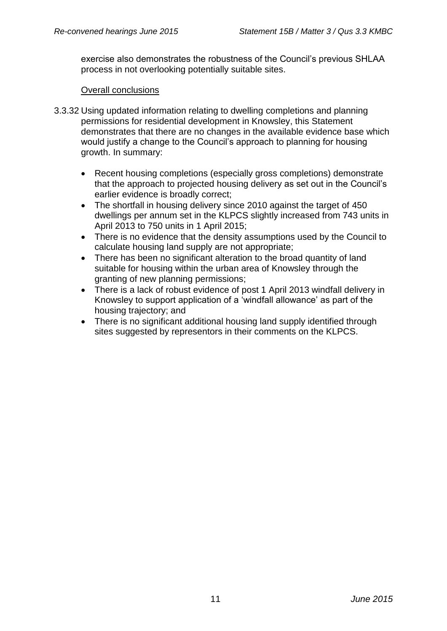exercise also demonstrates the robustness of the Council's previous SHLAA process in not overlooking potentially suitable sites.

### Overall conclusions

- 3.3.32 Using updated information relating to dwelling completions and planning permissions for residential development in Knowsley, this Statement demonstrates that there are no changes in the available evidence base which would justify a change to the Council's approach to planning for housing growth. In summary:
	- Recent housing completions (especially gross completions) demonstrate that the approach to projected housing delivery as set out in the Council's earlier evidence is broadly correct;
	- The shortfall in housing delivery since 2010 against the target of 450 dwellings per annum set in the KLPCS slightly increased from 743 units in April 2013 to 750 units in 1 April 2015;
	- There is no evidence that the density assumptions used by the Council to calculate housing land supply are not appropriate;
	- There has been no significant alteration to the broad quantity of land suitable for housing within the urban area of Knowsley through the granting of new planning permissions;
	- There is a lack of robust evidence of post 1 April 2013 windfall delivery in Knowsley to support application of a 'windfall allowance' as part of the housing trajectory; and
	- There is no significant additional housing land supply identified through sites suggested by representors in their comments on the KLPCS.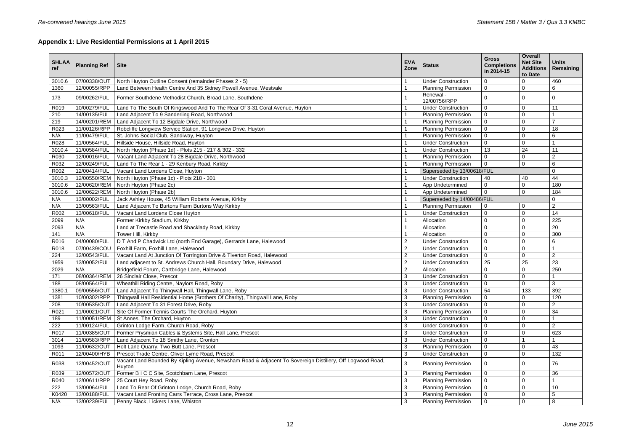# **Appendix 1: Live Residential Permissions at 1 April 2015**

| 0<br>0<br>12/00055/RPP<br>Land Between Health Centre And 35 Sidney Powell Avenue, Westvale<br>$\mathbf 0$<br>$\mathbf 0$<br>1360<br><b>Planning Permission</b><br>6<br>Renewal -<br>173<br>09/00262/FUL<br>Former Southdene Methodist Church, Broad Lane, Southdene<br>0<br>$\Omega$<br>0<br>12/00756/RPP<br>10/00279/FUL<br>$\mathbf 0$<br>R019<br>Land To The South Of Kingswood And To The Rear Of 3-31 Coral Avenue, Huyton<br><b>Under Construction</b><br>$\Omega$<br>11<br>210<br>14/00135/FUL<br>Land Adjacent To 9 Sanderling Road, Northwood<br><b>Planning Permission</b><br>$\mathbf 0$<br>0<br>Land Adjacent To 12 Bigdale Drive, Northwood<br>219<br>14/00201/REM<br><b>Planning Permission</b><br>$\Omega$<br>$\mathbf 0$<br>11/00126/RPP<br>R023<br>Robcliffe Longview Service Station, 91 Longview Drive, Huyton<br>0<br>18<br><b>Planning Permission</b><br>$\Omega$<br>N/A<br>11/00479/FUL<br>St. Johns Social Club, Sandiway, Huyton<br><b>Planning Permission</b><br>$\Omega$<br>$\mathbf 0$<br>6<br>Hillside House, Hillside Road, Huyton<br>R028<br>11/00564/FUL<br>0<br><b>Under Construction</b><br>$\Omega$<br>13<br>24<br>11/00584/FUL<br>North Huyton (Phase 1d) - Plots 215 - 217 & 302 - 332<br>11<br>3010.4<br><b>Under Construction</b><br>12/00016/FUL<br>$\overline{2}$<br>R030<br>Vacant Land Adjacent To 28 Bigdale Drive, Northwood<br><b>Planning Permission</b><br>$\mathbf 0$<br>$\mathbf 0$<br>R032<br>12/00249/FUL<br>Land To The Rear 1 - 29 Kenbury Road, Kirkby<br><b>Planning Permission</b><br>$\mathbf 0$<br>0<br>6<br>R002<br>12/00414/FUL<br>Vacant Land Lordens Close, Huyton<br>Superseded by 13/00618/FUL<br>$\Omega$<br>3010.3<br>12/00550/REM<br>North Huyton (Phase 1c) - Plots 218 - 301<br><b>Under Construction</b><br>40<br>40<br>44<br>12/00620/REM<br>180<br>3010.6<br>North Huyton (Phase 2c)<br>$\mathbf 0$<br>$\mathbf 0$<br>App Undetermined<br>12/00622/REM<br>$\mathbf 0$<br>184<br>3010.6<br>North Huyton (Phase 2b)<br>App Undetermined<br>$\mathbf 0$<br>N/A<br>13/00002/FUL<br>Jack Ashley House, 45 William Roberts Avenue, Kirkby<br>Superseded by 14/00486/FUL<br>$\Omega$<br>13/00563/FUL<br>Land Adjacent To Burtons Farm Burtons Way Kirkby<br><b>Planning Permission</b><br>$\overline{2}$<br>N/A<br>$\mathbf 0$<br>0<br>13/00618/FUL<br>R002<br>Vacant Land Lordens Close Huyton<br><b>Under Construction</b><br>$\mathbf 0$<br>14<br>$\mathbf 0$<br>225<br>2099<br>N/A<br>Former Kirkby Stadium, Kirkby<br>Allocation<br>$\mathbf 0$<br>$\Omega$<br>N/A<br>Land at Trecastle Road and Shacklady Road, Kirkby<br>20<br>2093<br>Allocation<br>$\mathbf 0$<br>0<br>N/A<br>Tower Hill, Kirkby<br>300<br>141<br>Allocation<br>0<br>$\Omega$<br>04/00080/FUL<br>$\overline{2}$<br>R016<br>D T And P Chadwick Ltd (north End Garage), Gerrards Lane, Halewood<br><b>Under Construction</b><br>0<br>6<br>$\Omega$<br>$\overline{c}$<br>07/00439/COU<br>Foxhill Farm, Foxhill Lane, Halewood<br>R018<br><b>Under Construction</b><br>$\Omega$<br>$\mathbf 0$<br>224<br>12/00543/FUL<br>Vacant Land At Junction Of Torrington Drive & Tiverton Road, Halewood<br>$\overline{2}$<br>$\overline{2}$<br><b>Under Construction</b><br>$\mathbf 0$<br>$\mathbf 0$<br>$\overline{2}$<br>25<br>25<br>23<br>1959<br>13/00052/FUL<br>Land adjacent to St. Andrews Church Hall, Boundary Drive, Halewood<br><b>Under Construction</b><br>$\overline{2}$<br>250<br>2029<br>N/A<br>Bridgefield Forum, Cartbridge Lane, Halewood<br>Allocation<br>$\mathbf 0$<br>0<br>08/00364/REM<br>26 Sinclair Close, Prescot<br>3<br>0<br>171<br><b>Under Construction</b><br>$\Omega$<br>Wheathill Riding Centre, Naylors Road, Roby<br>3<br>188<br>08/00564/FUL<br><b>Under Construction</b><br>0<br>0<br>3<br>09/00556/OUT   Land Adjacent To Thingwall Hall, Thingwall Lane, Roby<br>3<br><b>Under Construction</b><br>54<br>133<br>392<br>1380.1<br>Thingwall Hall Residential Home (Brothers Of Charity), Thingwall Lane, Roby<br>10/00302/RPP<br>3<br><b>Planning Permission</b><br>120<br>$\Omega$<br>$\Omega$<br>1381<br>10/00535/OUT<br>Land Adjacent To 31 Forest Drive, Roby<br>3<br>208<br><b>Under Construction</b><br>$\mathbf 0$<br>$\overline{2}$<br>11/00021/OUT  <br>Site Of Former Tennis Courts The Orchard, Huyton<br>3<br><b>Planning Permission</b><br>34<br>R021<br>$\mathbf 0$<br>$\mathbf 0$<br>11/00051/REM   St Annes, The Orchard, Huyton<br>3<br><b>Under Construction</b><br>189<br>0<br>0<br>11/00124/FUL<br>Grinton Lodge Farm, Church Road, Roby<br>3<br><b>Under Construction</b><br>2<br>222<br>$\Omega$<br>$\mathbf 0$<br>Former Prysmian Cables & Systems Site, Hall Lane, Prescot<br>11/00385/OUT<br>3<br><b>Under Construction</b><br>623<br>R017<br>0<br>11/00583/RPP<br>3014<br>Land Adjacent To 18 Smithy Lane, Cronton<br>3<br><b>Under Construction</b><br>11/00632/OUT<br>Holt Lane Quarry, Two Butt Lane, Prescot<br>3<br>1093<br><b>Planning Permission</b><br>0<br>43<br>12/00400/HYB<br>Prescot Trade Centre, Oliver Lyme Road, Prescot<br>3<br>132<br>R011<br><b>Under Construction</b><br>0<br>$\Omega$<br>Vacant Land Bounded By Kipling Avenue, Newsham Road & Adjacent To Sovereign Distillery, Off Logwood Road,<br>3<br>12/00452/OUT<br>76<br>R038<br><b>Planning Permission</b><br>$\Omega$<br>0<br>Huyton<br>Former B I C C Site, Scotchbarn Lane, Prescot<br>3<br>12/00572/OUT<br>36<br>R039<br><b>Planning Permission</b><br>$\mathbf 0$<br>$\mathbf 0$<br>12/00611/RPP<br>25 Court Hey Road, Roby<br>3<br>R040<br><b>Planning Permission</b><br>$\Omega$<br>0<br>Land To Rear Of Grinton Lodge, Church Road, Roby<br>222<br>13/00064/FUL<br>10<br>3<br><b>Planning Permission</b><br>0<br>$\mathbf 0$<br>13/00188/FUL<br>Vacant Land Fronting Carrs Terrace, Cross Lane, Prescot<br>3<br>K0420<br><b>Planning Permission</b><br>0<br>5<br>3<br>13/00239/FUL<br>Penny Black, Lickers Lane, Whiston<br><b>Planning Permission</b><br>$\mathbf 0$<br>8<br>N/A<br>$\mathbf{0}$ | <b>SHLAA</b><br>ref | <b>Planning Ref</b> | <b>Site</b>                                           | <b>EVA</b><br>Zone | <b>Status</b>             | <b>Gross</b><br><b>Completions</b><br>in 2014-15 | <b>Overall</b><br><b>Net Site</b><br><b>Additions</b><br>to Date | <b>Units</b><br>Remaining |
|-----------------------------------------------------------------------------------------------------------------------------------------------------------------------------------------------------------------------------------------------------------------------------------------------------------------------------------------------------------------------------------------------------------------------------------------------------------------------------------------------------------------------------------------------------------------------------------------------------------------------------------------------------------------------------------------------------------------------------------------------------------------------------------------------------------------------------------------------------------------------------------------------------------------------------------------------------------------------------------------------------------------------------------------------------------------------------------------------------------------------------------------------------------------------------------------------------------------------------------------------------------------------------------------------------------------------------------------------------------------------------------------------------------------------------------------------------------------------------------------------------------------------------------------------------------------------------------------------------------------------------------------------------------------------------------------------------------------------------------------------------------------------------------------------------------------------------------------------------------------------------------------------------------------------------------------------------------------------------------------------------------------------------------------------------------------------------------------------------------------------------------------------------------------------------------------------------------------------------------------------------------------------------------------------------------------------------------------------------------------------------------------------------------------------------------------------------------------------------------------------------------------------------------------------------------------------------------------------------------------------------------------------------------------------------------------------------------------------------------------------------------------------------------------------------------------------------------------------------------------------------------------------------------------------------------------------------------------------------------------------------------------------------------------------------------------------------------------------------------------------------------------------------------------------------------------------------------------------------------------------------------------------------------------------------------------------------------------------------------------------------------------------------------------------------------------------------------------------------------------------------------------------------------------------------------------------------------------------------------------------------------------------------------------------------------------------------------------------------------------------------------------------------------------------------------------------------------------------------------------------------------------------------------------------------------------------------------------------------------------------------------------------------------------------------------------------------------------------------------------------------------------------------------------------------------------------------------------------------------------------------------------------------------------------------------------------------------------------------------------------------------------------------------------------------------------------------------------------------------------------------------------------------------------------------------------------------------------------------------------------------------------------------------------------------------------------------------------------------------------------------------------------------------------------------------------------------------------------------------------------------------------------------------------------------------------------------------------------------------------------------------------------------------------------------------------------------------------------------------------------------------------------------------------------------------------------------------------------------------------------------------------------------------------------------------------------------------------------------------------------------------------------------------------------------------------------------------------------------------------------------------------------------------------------------------------------------------------------------------------------------------------------------------------------------------------------------------------------------------------------------------------------------------------------------------------------------------------------------------------------------------------------------------------------------------------------------------------------------------------|---------------------|---------------------|-------------------------------------------------------|--------------------|---------------------------|--------------------------------------------------|------------------------------------------------------------------|---------------------------|
|                                                                                                                                                                                                                                                                                                                                                                                                                                                                                                                                                                                                                                                                                                                                                                                                                                                                                                                                                                                                                                                                                                                                                                                                                                                                                                                                                                                                                                                                                                                                                                                                                                                                                                                                                                                                                                                                                                                                                                                                                                                                                                                                                                                                                                                                                                                                                                                                                                                                                                                                                                                                                                                                                                                                                                                                                                                                                                                                                                                                                                                                                                                                                                                                                                                                                                                                                                                                                                                                                                                                                                                                                                                                                                                                                                                                                                                                                                                                                                                                                                                                                                                                                                                                                                                                                                                                                                                                                                                                                                                                                                                                                                                                                                                                                                                                                                                                                                                                                                                                                                                                                                                                                                                                                                                                                                                                                                                                                                                                                                                                                                                                                                                                                                                                                                                                                                                                                                                                                                                         | 3010.6              | 07/00338/OUT        | North Huyton Outline Consent (remainder Phases 2 - 5) |                    | <b>Under Construction</b> |                                                  |                                                                  | 460                       |
|                                                                                                                                                                                                                                                                                                                                                                                                                                                                                                                                                                                                                                                                                                                                                                                                                                                                                                                                                                                                                                                                                                                                                                                                                                                                                                                                                                                                                                                                                                                                                                                                                                                                                                                                                                                                                                                                                                                                                                                                                                                                                                                                                                                                                                                                                                                                                                                                                                                                                                                                                                                                                                                                                                                                                                                                                                                                                                                                                                                                                                                                                                                                                                                                                                                                                                                                                                                                                                                                                                                                                                                                                                                                                                                                                                                                                                                                                                                                                                                                                                                                                                                                                                                                                                                                                                                                                                                                                                                                                                                                                                                                                                                                                                                                                                                                                                                                                                                                                                                                                                                                                                                                                                                                                                                                                                                                                                                                                                                                                                                                                                                                                                                                                                                                                                                                                                                                                                                                                                                         |                     |                     |                                                       |                    |                           |                                                  |                                                                  |                           |
|                                                                                                                                                                                                                                                                                                                                                                                                                                                                                                                                                                                                                                                                                                                                                                                                                                                                                                                                                                                                                                                                                                                                                                                                                                                                                                                                                                                                                                                                                                                                                                                                                                                                                                                                                                                                                                                                                                                                                                                                                                                                                                                                                                                                                                                                                                                                                                                                                                                                                                                                                                                                                                                                                                                                                                                                                                                                                                                                                                                                                                                                                                                                                                                                                                                                                                                                                                                                                                                                                                                                                                                                                                                                                                                                                                                                                                                                                                                                                                                                                                                                                                                                                                                                                                                                                                                                                                                                                                                                                                                                                                                                                                                                                                                                                                                                                                                                                                                                                                                                                                                                                                                                                                                                                                                                                                                                                                                                                                                                                                                                                                                                                                                                                                                                                                                                                                                                                                                                                                                         |                     |                     |                                                       |                    |                           |                                                  |                                                                  |                           |
|                                                                                                                                                                                                                                                                                                                                                                                                                                                                                                                                                                                                                                                                                                                                                                                                                                                                                                                                                                                                                                                                                                                                                                                                                                                                                                                                                                                                                                                                                                                                                                                                                                                                                                                                                                                                                                                                                                                                                                                                                                                                                                                                                                                                                                                                                                                                                                                                                                                                                                                                                                                                                                                                                                                                                                                                                                                                                                                                                                                                                                                                                                                                                                                                                                                                                                                                                                                                                                                                                                                                                                                                                                                                                                                                                                                                                                                                                                                                                                                                                                                                                                                                                                                                                                                                                                                                                                                                                                                                                                                                                                                                                                                                                                                                                                                                                                                                                                                                                                                                                                                                                                                                                                                                                                                                                                                                                                                                                                                                                                                                                                                                                                                                                                                                                                                                                                                                                                                                                                                         |                     |                     |                                                       |                    |                           |                                                  |                                                                  |                           |
|                                                                                                                                                                                                                                                                                                                                                                                                                                                                                                                                                                                                                                                                                                                                                                                                                                                                                                                                                                                                                                                                                                                                                                                                                                                                                                                                                                                                                                                                                                                                                                                                                                                                                                                                                                                                                                                                                                                                                                                                                                                                                                                                                                                                                                                                                                                                                                                                                                                                                                                                                                                                                                                                                                                                                                                                                                                                                                                                                                                                                                                                                                                                                                                                                                                                                                                                                                                                                                                                                                                                                                                                                                                                                                                                                                                                                                                                                                                                                                                                                                                                                                                                                                                                                                                                                                                                                                                                                                                                                                                                                                                                                                                                                                                                                                                                                                                                                                                                                                                                                                                                                                                                                                                                                                                                                                                                                                                                                                                                                                                                                                                                                                                                                                                                                                                                                                                                                                                                                                                         |                     |                     |                                                       |                    |                           |                                                  |                                                                  |                           |
|                                                                                                                                                                                                                                                                                                                                                                                                                                                                                                                                                                                                                                                                                                                                                                                                                                                                                                                                                                                                                                                                                                                                                                                                                                                                                                                                                                                                                                                                                                                                                                                                                                                                                                                                                                                                                                                                                                                                                                                                                                                                                                                                                                                                                                                                                                                                                                                                                                                                                                                                                                                                                                                                                                                                                                                                                                                                                                                                                                                                                                                                                                                                                                                                                                                                                                                                                                                                                                                                                                                                                                                                                                                                                                                                                                                                                                                                                                                                                                                                                                                                                                                                                                                                                                                                                                                                                                                                                                                                                                                                                                                                                                                                                                                                                                                                                                                                                                                                                                                                                                                                                                                                                                                                                                                                                                                                                                                                                                                                                                                                                                                                                                                                                                                                                                                                                                                                                                                                                                                         |                     |                     |                                                       |                    |                           |                                                  |                                                                  |                           |
|                                                                                                                                                                                                                                                                                                                                                                                                                                                                                                                                                                                                                                                                                                                                                                                                                                                                                                                                                                                                                                                                                                                                                                                                                                                                                                                                                                                                                                                                                                                                                                                                                                                                                                                                                                                                                                                                                                                                                                                                                                                                                                                                                                                                                                                                                                                                                                                                                                                                                                                                                                                                                                                                                                                                                                                                                                                                                                                                                                                                                                                                                                                                                                                                                                                                                                                                                                                                                                                                                                                                                                                                                                                                                                                                                                                                                                                                                                                                                                                                                                                                                                                                                                                                                                                                                                                                                                                                                                                                                                                                                                                                                                                                                                                                                                                                                                                                                                                                                                                                                                                                                                                                                                                                                                                                                                                                                                                                                                                                                                                                                                                                                                                                                                                                                                                                                                                                                                                                                                                         |                     |                     |                                                       |                    |                           |                                                  |                                                                  |                           |
|                                                                                                                                                                                                                                                                                                                                                                                                                                                                                                                                                                                                                                                                                                                                                                                                                                                                                                                                                                                                                                                                                                                                                                                                                                                                                                                                                                                                                                                                                                                                                                                                                                                                                                                                                                                                                                                                                                                                                                                                                                                                                                                                                                                                                                                                                                                                                                                                                                                                                                                                                                                                                                                                                                                                                                                                                                                                                                                                                                                                                                                                                                                                                                                                                                                                                                                                                                                                                                                                                                                                                                                                                                                                                                                                                                                                                                                                                                                                                                                                                                                                                                                                                                                                                                                                                                                                                                                                                                                                                                                                                                                                                                                                                                                                                                                                                                                                                                                                                                                                                                                                                                                                                                                                                                                                                                                                                                                                                                                                                                                                                                                                                                                                                                                                                                                                                                                                                                                                                                                         |                     |                     |                                                       |                    |                           |                                                  |                                                                  |                           |
|                                                                                                                                                                                                                                                                                                                                                                                                                                                                                                                                                                                                                                                                                                                                                                                                                                                                                                                                                                                                                                                                                                                                                                                                                                                                                                                                                                                                                                                                                                                                                                                                                                                                                                                                                                                                                                                                                                                                                                                                                                                                                                                                                                                                                                                                                                                                                                                                                                                                                                                                                                                                                                                                                                                                                                                                                                                                                                                                                                                                                                                                                                                                                                                                                                                                                                                                                                                                                                                                                                                                                                                                                                                                                                                                                                                                                                                                                                                                                                                                                                                                                                                                                                                                                                                                                                                                                                                                                                                                                                                                                                                                                                                                                                                                                                                                                                                                                                                                                                                                                                                                                                                                                                                                                                                                                                                                                                                                                                                                                                                                                                                                                                                                                                                                                                                                                                                                                                                                                                                         |                     |                     |                                                       |                    |                           |                                                  |                                                                  |                           |
|                                                                                                                                                                                                                                                                                                                                                                                                                                                                                                                                                                                                                                                                                                                                                                                                                                                                                                                                                                                                                                                                                                                                                                                                                                                                                                                                                                                                                                                                                                                                                                                                                                                                                                                                                                                                                                                                                                                                                                                                                                                                                                                                                                                                                                                                                                                                                                                                                                                                                                                                                                                                                                                                                                                                                                                                                                                                                                                                                                                                                                                                                                                                                                                                                                                                                                                                                                                                                                                                                                                                                                                                                                                                                                                                                                                                                                                                                                                                                                                                                                                                                                                                                                                                                                                                                                                                                                                                                                                                                                                                                                                                                                                                                                                                                                                                                                                                                                                                                                                                                                                                                                                                                                                                                                                                                                                                                                                                                                                                                                                                                                                                                                                                                                                                                                                                                                                                                                                                                                                         |                     |                     |                                                       |                    |                           |                                                  |                                                                  |                           |
|                                                                                                                                                                                                                                                                                                                                                                                                                                                                                                                                                                                                                                                                                                                                                                                                                                                                                                                                                                                                                                                                                                                                                                                                                                                                                                                                                                                                                                                                                                                                                                                                                                                                                                                                                                                                                                                                                                                                                                                                                                                                                                                                                                                                                                                                                                                                                                                                                                                                                                                                                                                                                                                                                                                                                                                                                                                                                                                                                                                                                                                                                                                                                                                                                                                                                                                                                                                                                                                                                                                                                                                                                                                                                                                                                                                                                                                                                                                                                                                                                                                                                                                                                                                                                                                                                                                                                                                                                                                                                                                                                                                                                                                                                                                                                                                                                                                                                                                                                                                                                                                                                                                                                                                                                                                                                                                                                                                                                                                                                                                                                                                                                                                                                                                                                                                                                                                                                                                                                                                         |                     |                     |                                                       |                    |                           |                                                  |                                                                  |                           |
|                                                                                                                                                                                                                                                                                                                                                                                                                                                                                                                                                                                                                                                                                                                                                                                                                                                                                                                                                                                                                                                                                                                                                                                                                                                                                                                                                                                                                                                                                                                                                                                                                                                                                                                                                                                                                                                                                                                                                                                                                                                                                                                                                                                                                                                                                                                                                                                                                                                                                                                                                                                                                                                                                                                                                                                                                                                                                                                                                                                                                                                                                                                                                                                                                                                                                                                                                                                                                                                                                                                                                                                                                                                                                                                                                                                                                                                                                                                                                                                                                                                                                                                                                                                                                                                                                                                                                                                                                                                                                                                                                                                                                                                                                                                                                                                                                                                                                                                                                                                                                                                                                                                                                                                                                                                                                                                                                                                                                                                                                                                                                                                                                                                                                                                                                                                                                                                                                                                                                                                         |                     |                     |                                                       |                    |                           |                                                  |                                                                  |                           |
|                                                                                                                                                                                                                                                                                                                                                                                                                                                                                                                                                                                                                                                                                                                                                                                                                                                                                                                                                                                                                                                                                                                                                                                                                                                                                                                                                                                                                                                                                                                                                                                                                                                                                                                                                                                                                                                                                                                                                                                                                                                                                                                                                                                                                                                                                                                                                                                                                                                                                                                                                                                                                                                                                                                                                                                                                                                                                                                                                                                                                                                                                                                                                                                                                                                                                                                                                                                                                                                                                                                                                                                                                                                                                                                                                                                                                                                                                                                                                                                                                                                                                                                                                                                                                                                                                                                                                                                                                                                                                                                                                                                                                                                                                                                                                                                                                                                                                                                                                                                                                                                                                                                                                                                                                                                                                                                                                                                                                                                                                                                                                                                                                                                                                                                                                                                                                                                                                                                                                                                         |                     |                     |                                                       |                    |                           |                                                  |                                                                  |                           |
|                                                                                                                                                                                                                                                                                                                                                                                                                                                                                                                                                                                                                                                                                                                                                                                                                                                                                                                                                                                                                                                                                                                                                                                                                                                                                                                                                                                                                                                                                                                                                                                                                                                                                                                                                                                                                                                                                                                                                                                                                                                                                                                                                                                                                                                                                                                                                                                                                                                                                                                                                                                                                                                                                                                                                                                                                                                                                                                                                                                                                                                                                                                                                                                                                                                                                                                                                                                                                                                                                                                                                                                                                                                                                                                                                                                                                                                                                                                                                                                                                                                                                                                                                                                                                                                                                                                                                                                                                                                                                                                                                                                                                                                                                                                                                                                                                                                                                                                                                                                                                                                                                                                                                                                                                                                                                                                                                                                                                                                                                                                                                                                                                                                                                                                                                                                                                                                                                                                                                                                         |                     |                     |                                                       |                    |                           |                                                  |                                                                  |                           |
|                                                                                                                                                                                                                                                                                                                                                                                                                                                                                                                                                                                                                                                                                                                                                                                                                                                                                                                                                                                                                                                                                                                                                                                                                                                                                                                                                                                                                                                                                                                                                                                                                                                                                                                                                                                                                                                                                                                                                                                                                                                                                                                                                                                                                                                                                                                                                                                                                                                                                                                                                                                                                                                                                                                                                                                                                                                                                                                                                                                                                                                                                                                                                                                                                                                                                                                                                                                                                                                                                                                                                                                                                                                                                                                                                                                                                                                                                                                                                                                                                                                                                                                                                                                                                                                                                                                                                                                                                                                                                                                                                                                                                                                                                                                                                                                                                                                                                                                                                                                                                                                                                                                                                                                                                                                                                                                                                                                                                                                                                                                                                                                                                                                                                                                                                                                                                                                                                                                                                                                         |                     |                     |                                                       |                    |                           |                                                  |                                                                  |                           |
|                                                                                                                                                                                                                                                                                                                                                                                                                                                                                                                                                                                                                                                                                                                                                                                                                                                                                                                                                                                                                                                                                                                                                                                                                                                                                                                                                                                                                                                                                                                                                                                                                                                                                                                                                                                                                                                                                                                                                                                                                                                                                                                                                                                                                                                                                                                                                                                                                                                                                                                                                                                                                                                                                                                                                                                                                                                                                                                                                                                                                                                                                                                                                                                                                                                                                                                                                                                                                                                                                                                                                                                                                                                                                                                                                                                                                                                                                                                                                                                                                                                                                                                                                                                                                                                                                                                                                                                                                                                                                                                                                                                                                                                                                                                                                                                                                                                                                                                                                                                                                                                                                                                                                                                                                                                                                                                                                                                                                                                                                                                                                                                                                                                                                                                                                                                                                                                                                                                                                                                         |                     |                     |                                                       |                    |                           |                                                  |                                                                  |                           |
|                                                                                                                                                                                                                                                                                                                                                                                                                                                                                                                                                                                                                                                                                                                                                                                                                                                                                                                                                                                                                                                                                                                                                                                                                                                                                                                                                                                                                                                                                                                                                                                                                                                                                                                                                                                                                                                                                                                                                                                                                                                                                                                                                                                                                                                                                                                                                                                                                                                                                                                                                                                                                                                                                                                                                                                                                                                                                                                                                                                                                                                                                                                                                                                                                                                                                                                                                                                                                                                                                                                                                                                                                                                                                                                                                                                                                                                                                                                                                                                                                                                                                                                                                                                                                                                                                                                                                                                                                                                                                                                                                                                                                                                                                                                                                                                                                                                                                                                                                                                                                                                                                                                                                                                                                                                                                                                                                                                                                                                                                                                                                                                                                                                                                                                                                                                                                                                                                                                                                                                         |                     |                     |                                                       |                    |                           |                                                  |                                                                  |                           |
|                                                                                                                                                                                                                                                                                                                                                                                                                                                                                                                                                                                                                                                                                                                                                                                                                                                                                                                                                                                                                                                                                                                                                                                                                                                                                                                                                                                                                                                                                                                                                                                                                                                                                                                                                                                                                                                                                                                                                                                                                                                                                                                                                                                                                                                                                                                                                                                                                                                                                                                                                                                                                                                                                                                                                                                                                                                                                                                                                                                                                                                                                                                                                                                                                                                                                                                                                                                                                                                                                                                                                                                                                                                                                                                                                                                                                                                                                                                                                                                                                                                                                                                                                                                                                                                                                                                                                                                                                                                                                                                                                                                                                                                                                                                                                                                                                                                                                                                                                                                                                                                                                                                                                                                                                                                                                                                                                                                                                                                                                                                                                                                                                                                                                                                                                                                                                                                                                                                                                                                         |                     |                     |                                                       |                    |                           |                                                  |                                                                  |                           |
|                                                                                                                                                                                                                                                                                                                                                                                                                                                                                                                                                                                                                                                                                                                                                                                                                                                                                                                                                                                                                                                                                                                                                                                                                                                                                                                                                                                                                                                                                                                                                                                                                                                                                                                                                                                                                                                                                                                                                                                                                                                                                                                                                                                                                                                                                                                                                                                                                                                                                                                                                                                                                                                                                                                                                                                                                                                                                                                                                                                                                                                                                                                                                                                                                                                                                                                                                                                                                                                                                                                                                                                                                                                                                                                                                                                                                                                                                                                                                                                                                                                                                                                                                                                                                                                                                                                                                                                                                                                                                                                                                                                                                                                                                                                                                                                                                                                                                                                                                                                                                                                                                                                                                                                                                                                                                                                                                                                                                                                                                                                                                                                                                                                                                                                                                                                                                                                                                                                                                                                         |                     |                     |                                                       |                    |                           |                                                  |                                                                  |                           |
|                                                                                                                                                                                                                                                                                                                                                                                                                                                                                                                                                                                                                                                                                                                                                                                                                                                                                                                                                                                                                                                                                                                                                                                                                                                                                                                                                                                                                                                                                                                                                                                                                                                                                                                                                                                                                                                                                                                                                                                                                                                                                                                                                                                                                                                                                                                                                                                                                                                                                                                                                                                                                                                                                                                                                                                                                                                                                                                                                                                                                                                                                                                                                                                                                                                                                                                                                                                                                                                                                                                                                                                                                                                                                                                                                                                                                                                                                                                                                                                                                                                                                                                                                                                                                                                                                                                                                                                                                                                                                                                                                                                                                                                                                                                                                                                                                                                                                                                                                                                                                                                                                                                                                                                                                                                                                                                                                                                                                                                                                                                                                                                                                                                                                                                                                                                                                                                                                                                                                                                         |                     |                     |                                                       |                    |                           |                                                  |                                                                  |                           |
|                                                                                                                                                                                                                                                                                                                                                                                                                                                                                                                                                                                                                                                                                                                                                                                                                                                                                                                                                                                                                                                                                                                                                                                                                                                                                                                                                                                                                                                                                                                                                                                                                                                                                                                                                                                                                                                                                                                                                                                                                                                                                                                                                                                                                                                                                                                                                                                                                                                                                                                                                                                                                                                                                                                                                                                                                                                                                                                                                                                                                                                                                                                                                                                                                                                                                                                                                                                                                                                                                                                                                                                                                                                                                                                                                                                                                                                                                                                                                                                                                                                                                                                                                                                                                                                                                                                                                                                                                                                                                                                                                                                                                                                                                                                                                                                                                                                                                                                                                                                                                                                                                                                                                                                                                                                                                                                                                                                                                                                                                                                                                                                                                                                                                                                                                                                                                                                                                                                                                                                         |                     |                     |                                                       |                    |                           |                                                  |                                                                  |                           |
|                                                                                                                                                                                                                                                                                                                                                                                                                                                                                                                                                                                                                                                                                                                                                                                                                                                                                                                                                                                                                                                                                                                                                                                                                                                                                                                                                                                                                                                                                                                                                                                                                                                                                                                                                                                                                                                                                                                                                                                                                                                                                                                                                                                                                                                                                                                                                                                                                                                                                                                                                                                                                                                                                                                                                                                                                                                                                                                                                                                                                                                                                                                                                                                                                                                                                                                                                                                                                                                                                                                                                                                                                                                                                                                                                                                                                                                                                                                                                                                                                                                                                                                                                                                                                                                                                                                                                                                                                                                                                                                                                                                                                                                                                                                                                                                                                                                                                                                                                                                                                                                                                                                                                                                                                                                                                                                                                                                                                                                                                                                                                                                                                                                                                                                                                                                                                                                                                                                                                                                         |                     |                     |                                                       |                    |                           |                                                  |                                                                  |                           |
|                                                                                                                                                                                                                                                                                                                                                                                                                                                                                                                                                                                                                                                                                                                                                                                                                                                                                                                                                                                                                                                                                                                                                                                                                                                                                                                                                                                                                                                                                                                                                                                                                                                                                                                                                                                                                                                                                                                                                                                                                                                                                                                                                                                                                                                                                                                                                                                                                                                                                                                                                                                                                                                                                                                                                                                                                                                                                                                                                                                                                                                                                                                                                                                                                                                                                                                                                                                                                                                                                                                                                                                                                                                                                                                                                                                                                                                                                                                                                                                                                                                                                                                                                                                                                                                                                                                                                                                                                                                                                                                                                                                                                                                                                                                                                                                                                                                                                                                                                                                                                                                                                                                                                                                                                                                                                                                                                                                                                                                                                                                                                                                                                                                                                                                                                                                                                                                                                                                                                                                         |                     |                     |                                                       |                    |                           |                                                  |                                                                  |                           |
|                                                                                                                                                                                                                                                                                                                                                                                                                                                                                                                                                                                                                                                                                                                                                                                                                                                                                                                                                                                                                                                                                                                                                                                                                                                                                                                                                                                                                                                                                                                                                                                                                                                                                                                                                                                                                                                                                                                                                                                                                                                                                                                                                                                                                                                                                                                                                                                                                                                                                                                                                                                                                                                                                                                                                                                                                                                                                                                                                                                                                                                                                                                                                                                                                                                                                                                                                                                                                                                                                                                                                                                                                                                                                                                                                                                                                                                                                                                                                                                                                                                                                                                                                                                                                                                                                                                                                                                                                                                                                                                                                                                                                                                                                                                                                                                                                                                                                                                                                                                                                                                                                                                                                                                                                                                                                                                                                                                                                                                                                                                                                                                                                                                                                                                                                                                                                                                                                                                                                                                         |                     |                     |                                                       |                    |                           |                                                  |                                                                  |                           |
|                                                                                                                                                                                                                                                                                                                                                                                                                                                                                                                                                                                                                                                                                                                                                                                                                                                                                                                                                                                                                                                                                                                                                                                                                                                                                                                                                                                                                                                                                                                                                                                                                                                                                                                                                                                                                                                                                                                                                                                                                                                                                                                                                                                                                                                                                                                                                                                                                                                                                                                                                                                                                                                                                                                                                                                                                                                                                                                                                                                                                                                                                                                                                                                                                                                                                                                                                                                                                                                                                                                                                                                                                                                                                                                                                                                                                                                                                                                                                                                                                                                                                                                                                                                                                                                                                                                                                                                                                                                                                                                                                                                                                                                                                                                                                                                                                                                                                                                                                                                                                                                                                                                                                                                                                                                                                                                                                                                                                                                                                                                                                                                                                                                                                                                                                                                                                                                                                                                                                                                         |                     |                     |                                                       |                    |                           |                                                  |                                                                  |                           |
|                                                                                                                                                                                                                                                                                                                                                                                                                                                                                                                                                                                                                                                                                                                                                                                                                                                                                                                                                                                                                                                                                                                                                                                                                                                                                                                                                                                                                                                                                                                                                                                                                                                                                                                                                                                                                                                                                                                                                                                                                                                                                                                                                                                                                                                                                                                                                                                                                                                                                                                                                                                                                                                                                                                                                                                                                                                                                                                                                                                                                                                                                                                                                                                                                                                                                                                                                                                                                                                                                                                                                                                                                                                                                                                                                                                                                                                                                                                                                                                                                                                                                                                                                                                                                                                                                                                                                                                                                                                                                                                                                                                                                                                                                                                                                                                                                                                                                                                                                                                                                                                                                                                                                                                                                                                                                                                                                                                                                                                                                                                                                                                                                                                                                                                                                                                                                                                                                                                                                                                         |                     |                     |                                                       |                    |                           |                                                  |                                                                  |                           |
|                                                                                                                                                                                                                                                                                                                                                                                                                                                                                                                                                                                                                                                                                                                                                                                                                                                                                                                                                                                                                                                                                                                                                                                                                                                                                                                                                                                                                                                                                                                                                                                                                                                                                                                                                                                                                                                                                                                                                                                                                                                                                                                                                                                                                                                                                                                                                                                                                                                                                                                                                                                                                                                                                                                                                                                                                                                                                                                                                                                                                                                                                                                                                                                                                                                                                                                                                                                                                                                                                                                                                                                                                                                                                                                                                                                                                                                                                                                                                                                                                                                                                                                                                                                                                                                                                                                                                                                                                                                                                                                                                                                                                                                                                                                                                                                                                                                                                                                                                                                                                                                                                                                                                                                                                                                                                                                                                                                                                                                                                                                                                                                                                                                                                                                                                                                                                                                                                                                                                                                         |                     |                     |                                                       |                    |                           |                                                  |                                                                  |                           |
|                                                                                                                                                                                                                                                                                                                                                                                                                                                                                                                                                                                                                                                                                                                                                                                                                                                                                                                                                                                                                                                                                                                                                                                                                                                                                                                                                                                                                                                                                                                                                                                                                                                                                                                                                                                                                                                                                                                                                                                                                                                                                                                                                                                                                                                                                                                                                                                                                                                                                                                                                                                                                                                                                                                                                                                                                                                                                                                                                                                                                                                                                                                                                                                                                                                                                                                                                                                                                                                                                                                                                                                                                                                                                                                                                                                                                                                                                                                                                                                                                                                                                                                                                                                                                                                                                                                                                                                                                                                                                                                                                                                                                                                                                                                                                                                                                                                                                                                                                                                                                                                                                                                                                                                                                                                                                                                                                                                                                                                                                                                                                                                                                                                                                                                                                                                                                                                                                                                                                                                         |                     |                     |                                                       |                    |                           |                                                  |                                                                  |                           |
|                                                                                                                                                                                                                                                                                                                                                                                                                                                                                                                                                                                                                                                                                                                                                                                                                                                                                                                                                                                                                                                                                                                                                                                                                                                                                                                                                                                                                                                                                                                                                                                                                                                                                                                                                                                                                                                                                                                                                                                                                                                                                                                                                                                                                                                                                                                                                                                                                                                                                                                                                                                                                                                                                                                                                                                                                                                                                                                                                                                                                                                                                                                                                                                                                                                                                                                                                                                                                                                                                                                                                                                                                                                                                                                                                                                                                                                                                                                                                                                                                                                                                                                                                                                                                                                                                                                                                                                                                                                                                                                                                                                                                                                                                                                                                                                                                                                                                                                                                                                                                                                                                                                                                                                                                                                                                                                                                                                                                                                                                                                                                                                                                                                                                                                                                                                                                                                                                                                                                                                         |                     |                     |                                                       |                    |                           |                                                  |                                                                  |                           |
|                                                                                                                                                                                                                                                                                                                                                                                                                                                                                                                                                                                                                                                                                                                                                                                                                                                                                                                                                                                                                                                                                                                                                                                                                                                                                                                                                                                                                                                                                                                                                                                                                                                                                                                                                                                                                                                                                                                                                                                                                                                                                                                                                                                                                                                                                                                                                                                                                                                                                                                                                                                                                                                                                                                                                                                                                                                                                                                                                                                                                                                                                                                                                                                                                                                                                                                                                                                                                                                                                                                                                                                                                                                                                                                                                                                                                                                                                                                                                                                                                                                                                                                                                                                                                                                                                                                                                                                                                                                                                                                                                                                                                                                                                                                                                                                                                                                                                                                                                                                                                                                                                                                                                                                                                                                                                                                                                                                                                                                                                                                                                                                                                                                                                                                                                                                                                                                                                                                                                                                         |                     |                     |                                                       |                    |                           |                                                  |                                                                  |                           |
|                                                                                                                                                                                                                                                                                                                                                                                                                                                                                                                                                                                                                                                                                                                                                                                                                                                                                                                                                                                                                                                                                                                                                                                                                                                                                                                                                                                                                                                                                                                                                                                                                                                                                                                                                                                                                                                                                                                                                                                                                                                                                                                                                                                                                                                                                                                                                                                                                                                                                                                                                                                                                                                                                                                                                                                                                                                                                                                                                                                                                                                                                                                                                                                                                                                                                                                                                                                                                                                                                                                                                                                                                                                                                                                                                                                                                                                                                                                                                                                                                                                                                                                                                                                                                                                                                                                                                                                                                                                                                                                                                                                                                                                                                                                                                                                                                                                                                                                                                                                                                                                                                                                                                                                                                                                                                                                                                                                                                                                                                                                                                                                                                                                                                                                                                                                                                                                                                                                                                                                         |                     |                     |                                                       |                    |                           |                                                  |                                                                  |                           |
|                                                                                                                                                                                                                                                                                                                                                                                                                                                                                                                                                                                                                                                                                                                                                                                                                                                                                                                                                                                                                                                                                                                                                                                                                                                                                                                                                                                                                                                                                                                                                                                                                                                                                                                                                                                                                                                                                                                                                                                                                                                                                                                                                                                                                                                                                                                                                                                                                                                                                                                                                                                                                                                                                                                                                                                                                                                                                                                                                                                                                                                                                                                                                                                                                                                                                                                                                                                                                                                                                                                                                                                                                                                                                                                                                                                                                                                                                                                                                                                                                                                                                                                                                                                                                                                                                                                                                                                                                                                                                                                                                                                                                                                                                                                                                                                                                                                                                                                                                                                                                                                                                                                                                                                                                                                                                                                                                                                                                                                                                                                                                                                                                                                                                                                                                                                                                                                                                                                                                                                         |                     |                     |                                                       |                    |                           |                                                  |                                                                  |                           |
|                                                                                                                                                                                                                                                                                                                                                                                                                                                                                                                                                                                                                                                                                                                                                                                                                                                                                                                                                                                                                                                                                                                                                                                                                                                                                                                                                                                                                                                                                                                                                                                                                                                                                                                                                                                                                                                                                                                                                                                                                                                                                                                                                                                                                                                                                                                                                                                                                                                                                                                                                                                                                                                                                                                                                                                                                                                                                                                                                                                                                                                                                                                                                                                                                                                                                                                                                                                                                                                                                                                                                                                                                                                                                                                                                                                                                                                                                                                                                                                                                                                                                                                                                                                                                                                                                                                                                                                                                                                                                                                                                                                                                                                                                                                                                                                                                                                                                                                                                                                                                                                                                                                                                                                                                                                                                                                                                                                                                                                                                                                                                                                                                                                                                                                                                                                                                                                                                                                                                                                         |                     |                     |                                                       |                    |                           |                                                  |                                                                  |                           |
|                                                                                                                                                                                                                                                                                                                                                                                                                                                                                                                                                                                                                                                                                                                                                                                                                                                                                                                                                                                                                                                                                                                                                                                                                                                                                                                                                                                                                                                                                                                                                                                                                                                                                                                                                                                                                                                                                                                                                                                                                                                                                                                                                                                                                                                                                                                                                                                                                                                                                                                                                                                                                                                                                                                                                                                                                                                                                                                                                                                                                                                                                                                                                                                                                                                                                                                                                                                                                                                                                                                                                                                                                                                                                                                                                                                                                                                                                                                                                                                                                                                                                                                                                                                                                                                                                                                                                                                                                                                                                                                                                                                                                                                                                                                                                                                                                                                                                                                                                                                                                                                                                                                                                                                                                                                                                                                                                                                                                                                                                                                                                                                                                                                                                                                                                                                                                                                                                                                                                                                         |                     |                     |                                                       |                    |                           |                                                  |                                                                  |                           |
|                                                                                                                                                                                                                                                                                                                                                                                                                                                                                                                                                                                                                                                                                                                                                                                                                                                                                                                                                                                                                                                                                                                                                                                                                                                                                                                                                                                                                                                                                                                                                                                                                                                                                                                                                                                                                                                                                                                                                                                                                                                                                                                                                                                                                                                                                                                                                                                                                                                                                                                                                                                                                                                                                                                                                                                                                                                                                                                                                                                                                                                                                                                                                                                                                                                                                                                                                                                                                                                                                                                                                                                                                                                                                                                                                                                                                                                                                                                                                                                                                                                                                                                                                                                                                                                                                                                                                                                                                                                                                                                                                                                                                                                                                                                                                                                                                                                                                                                                                                                                                                                                                                                                                                                                                                                                                                                                                                                                                                                                                                                                                                                                                                                                                                                                                                                                                                                                                                                                                                                         |                     |                     |                                                       |                    |                           |                                                  |                                                                  |                           |
|                                                                                                                                                                                                                                                                                                                                                                                                                                                                                                                                                                                                                                                                                                                                                                                                                                                                                                                                                                                                                                                                                                                                                                                                                                                                                                                                                                                                                                                                                                                                                                                                                                                                                                                                                                                                                                                                                                                                                                                                                                                                                                                                                                                                                                                                                                                                                                                                                                                                                                                                                                                                                                                                                                                                                                                                                                                                                                                                                                                                                                                                                                                                                                                                                                                                                                                                                                                                                                                                                                                                                                                                                                                                                                                                                                                                                                                                                                                                                                                                                                                                                                                                                                                                                                                                                                                                                                                                                                                                                                                                                                                                                                                                                                                                                                                                                                                                                                                                                                                                                                                                                                                                                                                                                                                                                                                                                                                                                                                                                                                                                                                                                                                                                                                                                                                                                                                                                                                                                                                         |                     |                     |                                                       |                    |                           |                                                  |                                                                  |                           |
|                                                                                                                                                                                                                                                                                                                                                                                                                                                                                                                                                                                                                                                                                                                                                                                                                                                                                                                                                                                                                                                                                                                                                                                                                                                                                                                                                                                                                                                                                                                                                                                                                                                                                                                                                                                                                                                                                                                                                                                                                                                                                                                                                                                                                                                                                                                                                                                                                                                                                                                                                                                                                                                                                                                                                                                                                                                                                                                                                                                                                                                                                                                                                                                                                                                                                                                                                                                                                                                                                                                                                                                                                                                                                                                                                                                                                                                                                                                                                                                                                                                                                                                                                                                                                                                                                                                                                                                                                                                                                                                                                                                                                                                                                                                                                                                                                                                                                                                                                                                                                                                                                                                                                                                                                                                                                                                                                                                                                                                                                                                                                                                                                                                                                                                                                                                                                                                                                                                                                                                         |                     |                     |                                                       |                    |                           |                                                  |                                                                  |                           |
|                                                                                                                                                                                                                                                                                                                                                                                                                                                                                                                                                                                                                                                                                                                                                                                                                                                                                                                                                                                                                                                                                                                                                                                                                                                                                                                                                                                                                                                                                                                                                                                                                                                                                                                                                                                                                                                                                                                                                                                                                                                                                                                                                                                                                                                                                                                                                                                                                                                                                                                                                                                                                                                                                                                                                                                                                                                                                                                                                                                                                                                                                                                                                                                                                                                                                                                                                                                                                                                                                                                                                                                                                                                                                                                                                                                                                                                                                                                                                                                                                                                                                                                                                                                                                                                                                                                                                                                                                                                                                                                                                                                                                                                                                                                                                                                                                                                                                                                                                                                                                                                                                                                                                                                                                                                                                                                                                                                                                                                                                                                                                                                                                                                                                                                                                                                                                                                                                                                                                                                         |                     |                     |                                                       |                    |                           |                                                  |                                                                  |                           |
|                                                                                                                                                                                                                                                                                                                                                                                                                                                                                                                                                                                                                                                                                                                                                                                                                                                                                                                                                                                                                                                                                                                                                                                                                                                                                                                                                                                                                                                                                                                                                                                                                                                                                                                                                                                                                                                                                                                                                                                                                                                                                                                                                                                                                                                                                                                                                                                                                                                                                                                                                                                                                                                                                                                                                                                                                                                                                                                                                                                                                                                                                                                                                                                                                                                                                                                                                                                                                                                                                                                                                                                                                                                                                                                                                                                                                                                                                                                                                                                                                                                                                                                                                                                                                                                                                                                                                                                                                                                                                                                                                                                                                                                                                                                                                                                                                                                                                                                                                                                                                                                                                                                                                                                                                                                                                                                                                                                                                                                                                                                                                                                                                                                                                                                                                                                                                                                                                                                                                                                         |                     |                     |                                                       |                    |                           |                                                  |                                                                  |                           |
|                                                                                                                                                                                                                                                                                                                                                                                                                                                                                                                                                                                                                                                                                                                                                                                                                                                                                                                                                                                                                                                                                                                                                                                                                                                                                                                                                                                                                                                                                                                                                                                                                                                                                                                                                                                                                                                                                                                                                                                                                                                                                                                                                                                                                                                                                                                                                                                                                                                                                                                                                                                                                                                                                                                                                                                                                                                                                                                                                                                                                                                                                                                                                                                                                                                                                                                                                                                                                                                                                                                                                                                                                                                                                                                                                                                                                                                                                                                                                                                                                                                                                                                                                                                                                                                                                                                                                                                                                                                                                                                                                                                                                                                                                                                                                                                                                                                                                                                                                                                                                                                                                                                                                                                                                                                                                                                                                                                                                                                                                                                                                                                                                                                                                                                                                                                                                                                                                                                                                                                         |                     |                     |                                                       |                    |                           |                                                  |                                                                  |                           |
|                                                                                                                                                                                                                                                                                                                                                                                                                                                                                                                                                                                                                                                                                                                                                                                                                                                                                                                                                                                                                                                                                                                                                                                                                                                                                                                                                                                                                                                                                                                                                                                                                                                                                                                                                                                                                                                                                                                                                                                                                                                                                                                                                                                                                                                                                                                                                                                                                                                                                                                                                                                                                                                                                                                                                                                                                                                                                                                                                                                                                                                                                                                                                                                                                                                                                                                                                                                                                                                                                                                                                                                                                                                                                                                                                                                                                                                                                                                                                                                                                                                                                                                                                                                                                                                                                                                                                                                                                                                                                                                                                                                                                                                                                                                                                                                                                                                                                                                                                                                                                                                                                                                                                                                                                                                                                                                                                                                                                                                                                                                                                                                                                                                                                                                                                                                                                                                                                                                                                                                         |                     |                     |                                                       |                    |                           |                                                  |                                                                  |                           |
|                                                                                                                                                                                                                                                                                                                                                                                                                                                                                                                                                                                                                                                                                                                                                                                                                                                                                                                                                                                                                                                                                                                                                                                                                                                                                                                                                                                                                                                                                                                                                                                                                                                                                                                                                                                                                                                                                                                                                                                                                                                                                                                                                                                                                                                                                                                                                                                                                                                                                                                                                                                                                                                                                                                                                                                                                                                                                                                                                                                                                                                                                                                                                                                                                                                                                                                                                                                                                                                                                                                                                                                                                                                                                                                                                                                                                                                                                                                                                                                                                                                                                                                                                                                                                                                                                                                                                                                                                                                                                                                                                                                                                                                                                                                                                                                                                                                                                                                                                                                                                                                                                                                                                                                                                                                                                                                                                                                                                                                                                                                                                                                                                                                                                                                                                                                                                                                                                                                                                                                         |                     |                     |                                                       |                    |                           |                                                  |                                                                  |                           |
|                                                                                                                                                                                                                                                                                                                                                                                                                                                                                                                                                                                                                                                                                                                                                                                                                                                                                                                                                                                                                                                                                                                                                                                                                                                                                                                                                                                                                                                                                                                                                                                                                                                                                                                                                                                                                                                                                                                                                                                                                                                                                                                                                                                                                                                                                                                                                                                                                                                                                                                                                                                                                                                                                                                                                                                                                                                                                                                                                                                                                                                                                                                                                                                                                                                                                                                                                                                                                                                                                                                                                                                                                                                                                                                                                                                                                                                                                                                                                                                                                                                                                                                                                                                                                                                                                                                                                                                                                                                                                                                                                                                                                                                                                                                                                                                                                                                                                                                                                                                                                                                                                                                                                                                                                                                                                                                                                                                                                                                                                                                                                                                                                                                                                                                                                                                                                                                                                                                                                                                         |                     |                     |                                                       |                    |                           |                                                  |                                                                  |                           |
|                                                                                                                                                                                                                                                                                                                                                                                                                                                                                                                                                                                                                                                                                                                                                                                                                                                                                                                                                                                                                                                                                                                                                                                                                                                                                                                                                                                                                                                                                                                                                                                                                                                                                                                                                                                                                                                                                                                                                                                                                                                                                                                                                                                                                                                                                                                                                                                                                                                                                                                                                                                                                                                                                                                                                                                                                                                                                                                                                                                                                                                                                                                                                                                                                                                                                                                                                                                                                                                                                                                                                                                                                                                                                                                                                                                                                                                                                                                                                                                                                                                                                                                                                                                                                                                                                                                                                                                                                                                                                                                                                                                                                                                                                                                                                                                                                                                                                                                                                                                                                                                                                                                                                                                                                                                                                                                                                                                                                                                                                                                                                                                                                                                                                                                                                                                                                                                                                                                                                                                         |                     |                     |                                                       |                    |                           |                                                  |                                                                  |                           |
|                                                                                                                                                                                                                                                                                                                                                                                                                                                                                                                                                                                                                                                                                                                                                                                                                                                                                                                                                                                                                                                                                                                                                                                                                                                                                                                                                                                                                                                                                                                                                                                                                                                                                                                                                                                                                                                                                                                                                                                                                                                                                                                                                                                                                                                                                                                                                                                                                                                                                                                                                                                                                                                                                                                                                                                                                                                                                                                                                                                                                                                                                                                                                                                                                                                                                                                                                                                                                                                                                                                                                                                                                                                                                                                                                                                                                                                                                                                                                                                                                                                                                                                                                                                                                                                                                                                                                                                                                                                                                                                                                                                                                                                                                                                                                                                                                                                                                                                                                                                                                                                                                                                                                                                                                                                                                                                                                                                                                                                                                                                                                                                                                                                                                                                                                                                                                                                                                                                                                                                         |                     |                     |                                                       |                    |                           |                                                  |                                                                  |                           |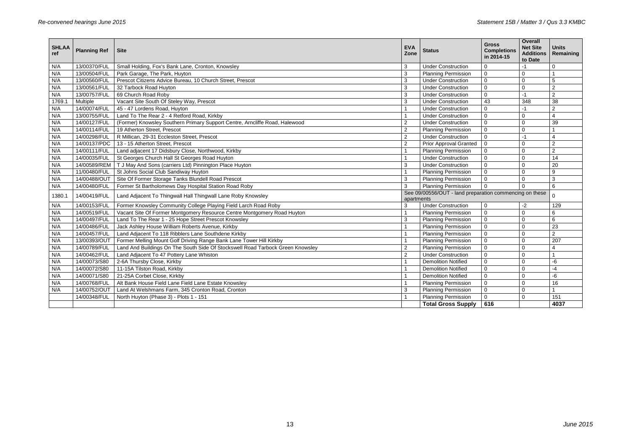| <b>SHLAA</b><br>ref | <b>Planning Ref</b> | <b>Site</b>                                                                    | <b>EVA</b><br>Zone                                                          | <b>Status</b>                                           | <b>Gross</b><br><b>Completions</b><br>in 2014-15 | <b>Overall</b><br><b>Net Site</b><br><b>Additions</b><br>to Date | <b>Units</b><br>Remaining |
|---------------------|---------------------|--------------------------------------------------------------------------------|-----------------------------------------------------------------------------|---------------------------------------------------------|--------------------------------------------------|------------------------------------------------------------------|---------------------------|
| N/A                 | 13/00370/FUL        | Small Holding, Fox's Bank Lane, Cronton, Knowsley                              | 3                                                                           | <b>Under Construction</b>                               | $\overline{0}$                                   | $-1$                                                             | $\mathbf 0$               |
| N/A                 | 13/00504/FUL        | Park Garage, The Park, Huyton                                                  | $\overline{3}$                                                              | <b>Planning Permission</b>                              | $\mathbf 0$                                      | $\mathbf 0$                                                      |                           |
| N/A                 | 13/00560/FUL        | Prescot Citizens Advice Bureau, 10 Church Street, Prescot                      | 3                                                                           | <b>Under Construction</b>                               | $\mathbf 0$                                      | $\mathbf 0$                                                      | 5                         |
| N/A                 | 13/00561/FUL        | 32 Tarbock Road Huyton                                                         | 3                                                                           | <b>Under Construction</b>                               | $\mathbf{0}$                                     | $\mathbf 0$                                                      | $\overline{2}$            |
| N/A                 | 13/00757/FUL        | 69 Church Road Roby                                                            | 3                                                                           | <b>Under Construction</b>                               | $\mathbf 0$                                      | $-1$                                                             | $\overline{2}$            |
| 1769.1              | Multiple            | Vacant Site South Of Steley Way, Prescot                                       | 3                                                                           | <b>Under Construction</b>                               | 43                                               | 348                                                              | 38                        |
| N/A                 | 14/00074/FUL        | 45 - 47 Lordens Road, Huyton                                                   | $\mathbf{1}$                                                                | <b>Under Construction</b>                               | $\mathbf 0$                                      | $-1$                                                             | $\overline{2}$            |
| N/A                 | 13/00755/FUL        | Land To The Rear 2 - 4 Retford Road, Kirkby                                    | $\mathbf{1}$                                                                | <b>Under Construction</b>                               | $\mathbf 0$                                      | $\mathbf 0$                                                      | $\overline{A}$            |
| N/A                 | 14/00127/FUL        | (Former) Knowsley Southern Primary Support Centre, Arncliffe Road, Halewood    | $\overline{2}$                                                              | <b>Under Construction</b>                               | $\mathbf 0$                                      | $\mathbf 0$                                                      | 39                        |
| N/A                 | 14/00114/FUL        | 19 Atherton Street, Prescot                                                    | $\overline{2}$                                                              | <b>Planning Permission</b>                              | $\mathbf 0$                                      | $\mathbf 0$                                                      |                           |
| N/A                 | 14/00298/FUL        | R Millican, 29-31 Eccleston Street, Prescot                                    | $\overline{2}$                                                              | <b>Under Construction</b>                               | $\mathbf 0$                                      | $-1$                                                             | $\Delta$                  |
| N/A                 | 14/00137/PDC        | 13 - 15 Atherton Street, Prescot                                               | $\overline{2}$                                                              | <b>Prior Approval Granted</b>                           | $\mathbf 0$                                      | $\overline{0}$                                                   | $\overline{2}$            |
| N/A                 | 14/00111/FUL        | Land adjacent 17 Didsbury Close, Northwood, Kirkby                             | $\mathbf{1}$                                                                | <b>Planning Permission</b>                              | $\mathbf 0$                                      | 0                                                                | 2                         |
| N/A                 | 14/00035/FUL        | St Georges Church Hall St Georges Road Huyton                                  | $\mathbf{1}$<br><b>Under Construction</b><br>$\mathbf{0}$<br>$\overline{0}$ |                                                         |                                                  | 14                                                               |                           |
| N/A                 | 14/00589/REM        | T J May And Sons (carriers Ltd) Pinnington Place Huyton                        | 3                                                                           | <b>Under Construction</b>                               | $\mathbf 0$                                      | $\mathbf 0$                                                      | 20                        |
| N/A                 | 11/00480/FUL        | St Johns Social Club Sandiway Huyton                                           | $\mathbf{1}$                                                                | <b>Planning Permission</b>                              | $\mathbf 0$                                      | $\mathbf 0$                                                      | 9                         |
| N/A                 | 14/00488/OUT        | Site Of Former Storage Tanks Blundell Road Prescot                             | 3                                                                           | <b>Planning Permission</b>                              | $\mathbf 0$                                      | $\mathbf 0$                                                      | 3                         |
| N/A                 | 14/00480/FUL        | Former St Bartholomews Day Hospital Station Road Roby                          | 3                                                                           | <b>Planning Permission</b>                              | $\mathbf 0$                                      | $\mathbf 0$                                                      | 6                         |
| 1380.1              | 14/00419/FUL        | Land Adjacent To Thingwall Hall Thingwall Lane Roby Knowsley                   | apartments                                                                  | See 09/00556/OUT - land preparation commencing on these |                                                  |                                                                  | $\mathbf 0$               |
| N/A                 | 14/00153/FUL        | Former Knowsley Community College Playing Field Larch Road Roby                | 3                                                                           | <b>Under Construction</b>                               | $\mathbf 0$                                      | $-2$                                                             | 129                       |
| N/A                 | 14/00519/FUL        | Vacant Site Of Former Montgomery Resource Centre Montgomery Road Huyton        | $\mathbf{1}$                                                                | <b>Planning Permission</b>                              | $\mathbf 0$                                      | $\mathbf 0$                                                      | 6                         |
| N/A                 | 14/00497/FUL        | Land To The Rear 1 - 25 Hope Street Prescot Knowsley                           | 3                                                                           | <b>Planning Permission</b>                              | $\mathbf 0$                                      | $\mathbf 0$                                                      | 6                         |
| N/A                 | 14/00486/FUL        | Jack Ashley House William Roberts Avenue, Kirkby                               | $\mathbf{1}$                                                                | <b>Planning Permission</b>                              | $\mathbf 0$                                      | $\mathbf{0}$                                                     | 23                        |
| N/A                 | 14/00457/FUL        | Land Adjacent To 118 Ribblers Lane Southdene Kirkby                            | $\mathbf{1}$                                                                | <b>Planning Permission</b>                              | $\mathbf{0}$                                     | $\overline{0}$                                                   | $\overline{2}$            |
| N/A                 | 13/00393/OUT        | Former Melling Mount Golf Driving Range Bank Lane Tower Hill Kirkby            | $\mathbf{1}$                                                                | <b>Planning Permission</b>                              | $\mathbf 0$                                      | $\mathbf 0$                                                      | 207                       |
| N/A                 | 14/00789/FUL        | Land And Buildings On The South Side Of Stockswell Road Tarbock Green Knowsley | $\overline{2}$                                                              | <b>Planning Permission</b>                              | $\mathbf 0$                                      | $\mathbf 0$                                                      | 4                         |
| N/A                 | 14/00462/FUL        | Land Adjacent To 47 Pottery Lane Whiston                                       | $\overline{2}$                                                              | <b>Under Construction</b>                               | $\mathbf{0}$                                     | $\overline{0}$                                                   |                           |
| N/A                 | 14/00073/S80        | 2-6A Thursby Close, Kirkby                                                     | $\mathbf{1}$                                                                | <b>Demolition Notified</b>                              | $\mathbf 0$                                      | $\mathbf 0$                                                      | -6                        |
| N/A                 | 14/00072/S80        | 11-15A Tilston Road, Kirkby                                                    | $\mathbf{1}$                                                                | <b>Demolition Notified</b>                              | $\mathbf 0$                                      | $\mathbf 0$<br>$-4$                                              |                           |
| N/A                 | 14/00071/S80        | 21-25A Corbet Close, Kirkby                                                    | $\mathbf{1}$                                                                | <b>Demolition Notified</b>                              | $\mathbf 0$<br>$\mathbf 0$                       |                                                                  | -6                        |
| N/A                 | 14/00768/FUL        | Alt Bank House Field Lane Field Lane Estate Knowsley                           | $\mathbf{1}$                                                                | <b>Planning Permission</b>                              | $\mathbf 0$                                      | 16<br>$\mathbf 0$                                                |                           |
| N/A                 | 14/00752/OUT        | Land At Welshmans Farm, 345 Cronton Road, Cronton                              | 3                                                                           | <b>Planning Permission</b>                              | $\mathbf 0$                                      | $\mathbf 0$                                                      |                           |
|                     | 14/00348/FUL        | North Huyton (Phase 3) - Plots 1 - 151                                         |                                                                             | <b>Planning Permission</b>                              | $\mathbf 0$                                      | $\mathbf 0$                                                      | 151                       |
|                     |                     |                                                                                |                                                                             | <b>Total Gross Supply</b>                               | 616                                              |                                                                  | 4037                      |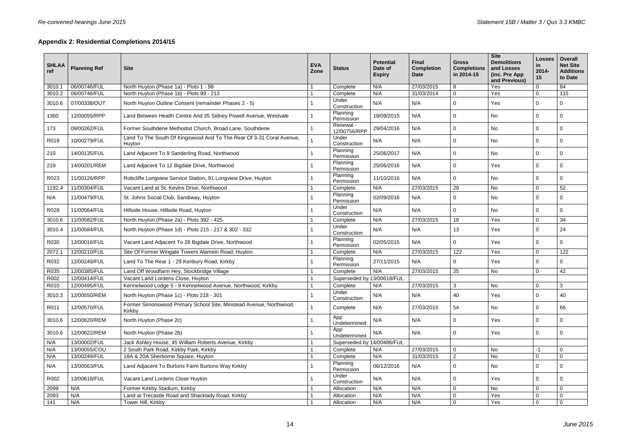# **Appendix 2: Residential Completions 2014/15**

| <b>SHLAA</b><br>ref | <b>Planning Ref</b> | <b>Site</b>                                                                    | <b>EVA</b><br>Zone | <b>Status</b>              | <b>Potential</b><br>Date of<br><b>Expiry</b> | <b>Final</b><br><b>Completion</b><br>Date | <b>Gross</b><br><b>Completions</b><br>in 2014-15 | <b>Site</b><br><b>Demolitions</b><br>and Losses<br>(inc. Pre App<br>and Previous) | <b>Losses</b><br>in.<br>$2014 -$<br>15 | <b>Overall</b><br><b>Net Site</b><br><b>Additions</b><br>to Date |
|---------------------|---------------------|--------------------------------------------------------------------------------|--------------------|----------------------------|----------------------------------------------|-------------------------------------------|--------------------------------------------------|-----------------------------------------------------------------------------------|----------------------------------------|------------------------------------------------------------------|
| 3010.1              | 06/00746/FUL        | North Huyton (Phase 1a) - Plots 1 - 98                                         |                    | Complete                   | N/A                                          | 27/03/2015                                | 8                                                | Yes                                                                               | $\mathbf 0$                            | 84                                                               |
| 3010.2              | 06/00746/FUL        | North Huyton (Phase 1b) - Plots 99 - 213                                       |                    | Complete                   | N/A                                          | 31/03/2014                                | $\mathbf 0$                                      | Yes                                                                               | $\mathbf 0$                            | 115                                                              |
| 3010.6              | 07/00338/OUT        | North Huyton Outline Consent (remainder Phases 2 - 5)                          |                    | Under<br>Construction      | N/A                                          | N/A                                       | 0                                                | Yes                                                                               | $\mathbf 0$                            | 0                                                                |
| 1360                | 12/00055/RPP        | Land Between Health Centre And 35 Sidney Powell Avenue, Westvale               |                    | Planning<br>Permission     | 18/09/2015                                   | N/A                                       | $\mathbf 0$                                      | No                                                                                | $\overline{0}$                         | $\mathbf 0$                                                      |
| 173                 | 09/00262/FUL        | Former Southdene Methodist Church, Broad Lane, Southdene                       |                    | Renewal -<br>12/00756/RPP  | 29/04/2016                                   | N/A                                       | $\mathbf 0$                                      | No                                                                                | $\mathbf 0$                            | $\mathbf 0$                                                      |
| R019                | 10/00279/FUL        | Land To The South Of Kingswood And To The Rear Of 3-31 Coral Avenue,<br>Huyton |                    | Under<br>Construction      | N/A                                          | N/A                                       | 0                                                | No                                                                                | $\mathbf 0$                            | $\mathbf 0$                                                      |
| 210                 | 14/00135/FUL        | Land Adjacent To 9 Sanderling Road, Northwood                                  |                    | Planning<br>Permission     | 25/06/2017                                   | N/A                                       | $\mathbf 0$                                      | No                                                                                | $\mathbf 0$                            | $\mathbf 0$                                                      |
| 219                 | 14/00201/REM        | Land Adjacent To 12 Bigdale Drive, Northwood                                   |                    | Planning<br>Permission     | 25/06/2016                                   | N/A                                       | $\mathbf 0$                                      | Yes                                                                               | $\mathbf 0$                            | $\overline{0}$                                                   |
| R023                | 11/00126/RPP        | Robcliffe Longview Service Station, 91 Longview Drive, Huyton                  |                    | Planning<br>Permission     | 11/10/2016                                   | N/A                                       | 0                                                | No                                                                                | $\mathbf 0$                            | $\overline{0}$                                                   |
| 1192.4              | 11/00304/FUL        | Vacant Land at St. Kevins Drive, Northwood                                     |                    | Complete                   | N/A                                          | 27/03/2015                                | 29                                               | <b>No</b>                                                                         | $\mathbf 0$                            | 52                                                               |
| N/A                 | 11/00479/FUL        | St. Johns Social Club, Sandiway, Huyton                                        |                    | Planning<br>Permission     | 02/09/2016                                   | N/A                                       | 0                                                | No                                                                                | $\mathbf 0$                            | $\mathbf 0$                                                      |
| R028                | 11/00564/FUL        | Hillside House, Hillside Road, Huyton                                          |                    | Under<br>Construction      | N/A                                          | N/A                                       | 0                                                | No                                                                                | $\mathbf 0$                            | $\overline{0}$                                                   |
| 3010.6              | 11/00582/FUL        | North Huyton (Phase 2a) - Plots 392 - 425                                      |                    | Complete                   | N/A                                          | 27/03/2015                                | 18                                               | Yes                                                                               | $\mathbf 0$                            | 34                                                               |
| 3010.4              | 11/00584/FUL        | North Huyton (Phase 1d) - Plots 215 - 217 & 302 - 332                          |                    | Under<br>Construction      | N/A                                          | N/A                                       | 13                                               | Yes                                                                               | $\mathbf 0$                            | 24                                                               |
| R030                | 12/00016/FUL        | Vacant Land Adjacent To 28 Bigdale Drive, Northwood                            |                    | Planning<br>Permission     | 02/05/2015                                   | N/A                                       | 0                                                | Yes                                                                               | $\mathbf 0$                            | $\mathbf 0$                                                      |
| 2072.1              | 12/00210/FUL        | Site Of Former Wingate Towers Alamein Road, Huyton                             |                    | Complete                   | N/A                                          | 27/03/2015                                | 122                                              | Yes                                                                               | $\mathbf 0$                            | 122                                                              |
| R032                | 12/00249/FUL        | Land To The Rear 1 - 29 Kenbury Road, Kirkby                                   |                    | Planning<br>Permission     | 27/11/2015                                   | N/A                                       | 0                                                | Yes                                                                               | $\mathbf 0$                            | 0                                                                |
| R035                | 12/00385/FUL        | Land Off Woodfarm Hey, Stockbridge Village                                     |                    | Complete                   | N/A                                          | 27/03/2015                                | 25                                               | No                                                                                | $\mathbf 0$                            | 42                                                               |
| R002                | 12/00414/FUL        | Vacant Land Lordens Close, Huyton                                              |                    | Superseded by 13/00618/FUL |                                              |                                           |                                                  |                                                                                   |                                        |                                                                  |
| R010                | 12/00495/FUL        | Kennelwood Lodge 5 - 9 Kennelwood Avenue, Northwood, Kirkby                    |                    | Complete                   | N/A                                          | 27/03/2015                                | 3                                                | No                                                                                | $\mathbf 0$                            | $\mathbf{3}$                                                     |
| 3010.3              | 12/00550/REM        | North Huyton (Phase 1c) - Plots 218 - 301                                      |                    | Under<br>Construction      | N/A                                          | N/A                                       | 40                                               | Yes                                                                               | $\mathbf 0$                            | 40                                                               |
| R011                | 12/00570/FUL        | Former Simonswood Primary School Site, Minstead Avenue, Northwood,<br>Kirkby   |                    | Complete                   | N/A                                          | 27/03/2015                                | 54                                               | No                                                                                | $\mathbf 0$                            | 66                                                               |
| 3010.6              | 12/00620/REM        | North Huyton (Phase 2c)                                                        |                    | App<br>Undetermined        | N/A                                          | N/A                                       | $\mathbf 0$                                      | Yes                                                                               | $\mathbf 0$                            | $\Omega$                                                         |
| 3010.6              | 12/00622/REM        | North Huyton (Phase 2b)                                                        |                    | App<br>Undetermined        | N/A                                          | N/A                                       | 0                                                | Yes                                                                               | $\mathbf 0$                            | $\Omega$                                                         |
| N/A                 | 13/00002/FUL        | Jack Ashley House, 45 William Roberts Avenue, Kirkby                           |                    | Superseded by 14/00486/FUL |                                              |                                           |                                                  |                                                                                   |                                        |                                                                  |
| N/A                 | 13/00055/COU        | 2 South Park Road, Kirkby Park, Kirkby                                         |                    | Complete                   | N/A                                          | 27/03/2015                                | $\pmb{0}$                                        | <b>No</b>                                                                         | $-1$                                   | $\mathbf 0$                                                      |
| N/A                 | 13/00249/FUL        | 18A & 20A Sherborne Square, Huyton                                             |                    | Complete                   | N/A                                          | 31/03/2015                                | $\overline{2}$                                   | No                                                                                | $\mathbf 0$                            | $\mathbf 0$                                                      |
| N/A                 | 13/00563/FUL        | Land Adjacent To Burtons Farm Burtons Way Kirkby                               |                    | Planning<br>Permission     | 06/12/2016                                   | N/A                                       | 0                                                | No                                                                                | $\mathbf 0$                            | 0                                                                |
| R002                | 13/00618/FUL        | Vacant Land Lordens Close Huyton                                               |                    | Under<br>Construction      | N/A                                          | N/A                                       | 0                                                | Yes                                                                               | $\mathbf 0$                            | 0                                                                |
| 2099                | N/A                 | Former Kirkby Stadium, Kirkby                                                  |                    | Allocation                 | N/A                                          | N/A                                       | $\pmb{0}$                                        | No                                                                                | $\mathbf 0$                            | $\mathbf 0$                                                      |
| 2093                | N/A                 | Land at Trecastle Road and Shacklady Road, Kirkby                              |                    | Allocation                 | N/A                                          | N/A                                       | $\pmb{0}$                                        | Yes                                                                               | $\mathbf 0$                            | $\mathbf 0$                                                      |
| 141                 | N/A                 | Tower Hill, Kirkby                                                             |                    | Allocation                 | N/A                                          | N/A                                       | $\mathsf 0$                                      | Yes                                                                               | $\mathbf 0$                            | $\mathbf 0$                                                      |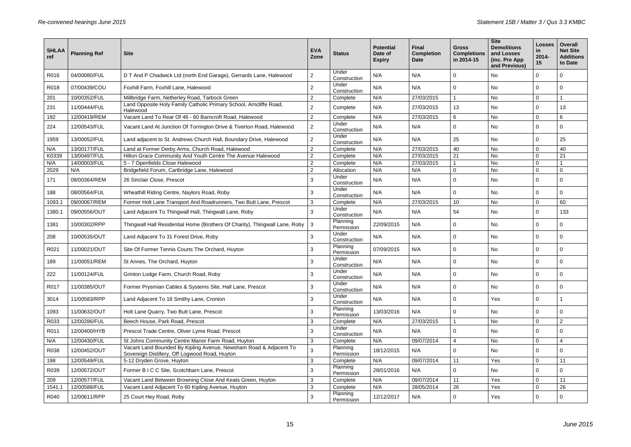| <b>SHLAA</b><br>ref | <b>Planning Ref</b> | <b>Site</b>                                                                                                         | <b>EVA</b><br>Zone | <b>Status</b>          | <b>Potential</b><br>Date of<br><b>Expiry</b> | <b>Final</b><br><b>Completion</b><br><b>Date</b> | <b>Gross</b><br><b>Completions</b><br>in 2014-15 | <b>Site</b><br><b>Demolitions</b><br>and Losses<br>(inc. Pre App<br>and Previous) | <b>Losses</b><br><u>in</u><br>$2014 -$<br>15 | <b>Overall</b><br><b>Net Site</b><br><b>Additions</b><br>to Date |
|---------------------|---------------------|---------------------------------------------------------------------------------------------------------------------|--------------------|------------------------|----------------------------------------------|--------------------------------------------------|--------------------------------------------------|-----------------------------------------------------------------------------------|----------------------------------------------|------------------------------------------------------------------|
| R016                | 04/00080/FUL        | D T And P Chadwick Ltd (north End Garage), Gerrards Lane, Halewood                                                  | $2^{\circ}$        | Under<br>Construction  | N/A                                          | N/A                                              | 0                                                | No                                                                                | $\Omega$                                     | 0                                                                |
| R018                | 07/00439/COU        | Foxhill Farm, Foxhill Lane, Halewood                                                                                | 2                  | Under<br>Construction  | N/A                                          | N/A                                              | 0                                                | No                                                                                | $\Omega$                                     | 0                                                                |
| 201                 | 10/00352/FUL        | Millbridge Farm, Netherley Road, Tarbock Green                                                                      | 2                  | Complete               | N/A                                          | 27/03/2015                                       |                                                  | No                                                                                | $\mathbf 0$                                  |                                                                  |
| 231                 | 11/00444/FUL        | Land Opposite Holy Family Catholic Primary School, Arncliffe Road,<br>Halewood                                      | $\overline{2}$     | Complete               | N/A                                          | 27/03/2015                                       | 13                                               | No                                                                                | $\Omega$                                     | 13                                                               |
| 192                 | 12/00419/REM        | Vacant Land To Rear Of 46 - 60 Barncroft Road, Halewood                                                             | $\overline{2}$     | Complete               | N/A                                          | 27/03/2015                                       | 6                                                | No                                                                                | $\overline{0}$                               | 6                                                                |
| 224                 | 12/00543/FUL        | Vacant Land At Junction Of Torrington Drive & Tiverton Road, Halewood                                               | $\overline{2}$     | Under<br>Construction  | N/A                                          | N/A                                              | 0                                                | No                                                                                | 0                                            | 0                                                                |
| 1959                | 13/00052/FUL        | Land adjacent to St. Andrews Church Hall, Boundary Drive, Halewood                                                  | $\overline{2}$     | Under<br>Construction  | N/A                                          | N/A                                              | 25                                               | No                                                                                | $\Omega$                                     | 25                                                               |
| N/A                 | 13/00177/FUL        | Land at Former Derby Arms, Church Road, Halewood                                                                    | 2                  | Complete               | N/A                                          | 27/03/2015                                       | 40                                               | No                                                                                | $\mathbf 0$                                  | 40                                                               |
| K0339               | 13/00497/FUL        | Hilton Grace Community And Youth Centre The Avenue Halewood                                                         | 2                  | Complete               | N/A                                          | 27/03/2015                                       | 21                                               | No                                                                                | $\mathbf 0$                                  | 21                                                               |
| N/A                 | 14/00003/FUL        | 5 - 7 Openfields Close Halewood                                                                                     | 2                  | Complete               | N/A                                          | 27/03/2015                                       |                                                  | No                                                                                | $\mathbf 0$                                  |                                                                  |
| 2029                | N/A                 | Bridgefield Forum, Cartbridge Lane, Halewood                                                                        | 2                  | Allocation             | N/A                                          | N/A                                              | 0                                                | No                                                                                | 0                                            | $\mathsf 0$                                                      |
| 171                 | 08/00364/REM        | 26 Sinclair Close, Prescot                                                                                          | 3                  | Under<br>Construction  | N/A                                          | N/A                                              | 0                                                | No                                                                                | $\Omega$                                     | $\mathbf 0$                                                      |
| 188                 | 08/00564/FUL        | Wheathill Riding Centre, Naylors Road, Roby                                                                         | 3                  | Under<br>Construction  | N/A                                          | N/A                                              | 0                                                | No                                                                                | $\Omega$                                     | $\mathbf 0$                                                      |
| 1093.1              | 09/00067/REM        | Former Holt Lane Transport And Roadrunners, Two Butt Lane, Prescot                                                  | 3                  | Complete               | N/A                                          | 27/03/2015                                       | 10 <sup>1</sup>                                  | No                                                                                | $\mathbf 0$                                  | 60                                                               |
| 1380.1              | 09/00556/OUT        | Land Adjacent To Thingwall Hall, Thingwall Lane, Roby                                                               | 3                  | Under<br>Construction  | N/A                                          | N/A                                              | 54                                               | No                                                                                | $\Omega$                                     | 133                                                              |
| 1381                | 10/00302/RPP        | Thingwall Hall Residential Home (Brothers Of Charity), Thingwall Lane, Roby                                         | 3                  | Planning<br>Permission | 22/09/2015                                   | N/A                                              | 0                                                | No                                                                                | 0                                            | $\mathbf 0$                                                      |
| 208                 | 10/00535/OUT        | Land Adjacent To 31 Forest Drive, Roby                                                                              | 3                  | Under<br>Construction  | N/A                                          | N/A                                              | 0                                                | No                                                                                | 0                                            | $\mathbf 0$                                                      |
| R021                | 11/00021/OUT        | Site Of Former Tennis Courts The Orchard, Huyton                                                                    | 3                  | Planning<br>Permission | 07/09/2015                                   | N/A                                              | 0                                                | No                                                                                | 0                                            | $\mathbf 0$                                                      |
| 189                 | 11/00051/REM        | St Annes, The Orchard, Huyton                                                                                       | 3                  | Under<br>Construction  | N/A                                          | N/A                                              | 0                                                | No                                                                                | 0                                            | 0                                                                |
| 222                 | 11/00124/FUL        | Grinton Lodge Farm, Church Road, Roby                                                                               | 3                  | Under<br>Construction  | N/A                                          | N/A                                              | 0                                                | No                                                                                | $\overline{0}$                               |                                                                  |
| R017                | 11/00385/OUT        | Former Prysmian Cables & Systems Site, Hall Lane, Prescot                                                           | 3                  | Under<br>Construction  | N/A                                          | N/A                                              | 0                                                | No                                                                                | $\mathbf 0$                                  | $\mathbf 0$                                                      |
| 3014                | 11/00583/RPP        | Land Adjacent To 18 Smithy Lane, Cronton                                                                            | 3                  | Under<br>Construction  | N/A                                          | N/A                                              | 0                                                | Yes                                                                               | $\mathbf{0}$                                 |                                                                  |
| 1093                | 11/00632/OUT        | Holt Lane Quarry, Two Butt Lane, Prescot                                                                            | 3                  | Planning<br>Permission | 13/03/2016                                   | N/A                                              | 0                                                | No                                                                                | 0                                            | $\Omega$                                                         |
| R033                | 12/00286/FUL        | Beech House, Park Road, Prescot                                                                                     | $\mathbf{3}$       | Complete               | N/A                                          | 27/03/2015                                       |                                                  | No                                                                                | $\overline{0}$                               | $\overline{2}$                                                   |
| R011                | 12/00400/HYB        | Prescot Trade Centre, Oliver Lyme Road, Prescot                                                                     | 3                  | Under<br>Construction  | N/A                                          | N/A                                              | 0                                                | No                                                                                | 0                                            | $\Omega$                                                         |
| N/A                 | 12/00430/FUL        | St Johns Community Centre Manor Farm Road, Huyton                                                                   | 3                  | Complete               | N/A                                          | 09/07/2014                                       | $\overline{4}$                                   | No                                                                                | $\overline{0}$                               | $\overline{4}$                                                   |
| R038                | 12/00452/OUT        | Vacant Land Bounded By Kipling Avenue, Newsham Road & Adjacent To<br>Sovereign Distillery, Off Logwood Road, Huyton | 3                  | Planning<br>Permission | 18/12/2015                                   | N/A                                              | 0                                                | No                                                                                | $\mathbf{0}$                                 | $\mathbf 0$                                                      |
| 198                 | 12/00549/FUL        | 5-12 Dryden Grove, Huyton                                                                                           | 3                  | Complete               | N/A                                          | 09/07/2014                                       | 11                                               | Yes                                                                               | $\mathbf 0$                                  | 11                                                               |
| R039                | 12/00572/OUT        | Former B I C C Site, Scotchbarn Lane, Prescot                                                                       | $\mathbf{3}$       | Planning<br>Permission | 28/01/2016                                   | N/A                                              | 0                                                | No                                                                                | 0                                            | $\mathbf 0$                                                      |
| 209                 | 12/00577/FUL        | Vacant Land Between Browning Close And Keats Green, Huyton                                                          | 3                  | Complete               | N/A                                          | 09/07/2014                                       | 11                                               | Yes                                                                               | $\mathbf 0$                                  | 11                                                               |
| 1541.1              | 12/00588/FUL        | Vacant Land Adjacent To 60 Kipling Avenue, Huyton                                                                   | 3                  | Complete               | N/A                                          | 28/05/2014                                       | 26                                               | Yes                                                                               | $\mathbf 0$                                  | 26                                                               |
| R040                | 12/00611/RPP        | 25 Court Hey Road, Roby                                                                                             | 3                  | Planning<br>Permission | 12/12/2017                                   | N/A                                              | 0                                                | Yes                                                                               | 0                                            | $\mathbf{0}$                                                     |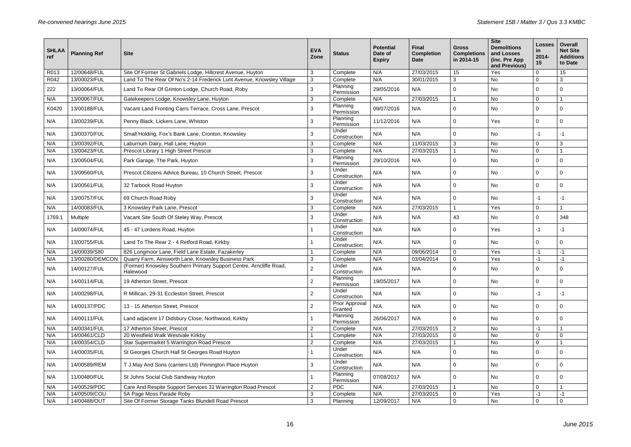| <b>SHLAA</b><br>ref | <b>Planning Ref</b> | <b>Site</b>                                                                    | <b>EVA</b><br>Zone | <b>Status</b>             | <b>Potential</b><br>Date of<br><b>Expiry</b> | Final<br><b>Completion</b><br>Date | <b>Gross</b><br><b>Completions</b><br>in 2014-15 | <b>Site</b><br><b>Demolitions</b><br>and Losses<br>(inc. Pre App<br>and Previous) | <b>Losses</b><br><u>in</u><br>$2014 -$<br>15 | <b>Overall</b><br><b>Net Site</b><br><b>Additions</b><br>to Date |
|---------------------|---------------------|--------------------------------------------------------------------------------|--------------------|---------------------------|----------------------------------------------|------------------------------------|--------------------------------------------------|-----------------------------------------------------------------------------------|----------------------------------------------|------------------------------------------------------------------|
| R013                | 12/00648/FUL        | Site Of Former St Gabriels Lodge, Hillcrest Avenue, Huyton                     | $\mathbf{3}$       | Complete                  | N/A                                          | 27/03/2015                         | 15                                               | Yes                                                                               | $\mathbf 0$                                  | 15                                                               |
| R042                | 13/00023/FUL        | Land To The Rear Of No's 2-14 Frederick Lunt Avenue, Knowsley Village          | 3                  | Complete                  | N/A                                          | 30/01/2015                         | 3                                                | No                                                                                | $\mathbf{0}$                                 | 3                                                                |
| 222                 | 13/00064/FUL        | Land To Rear Of Grinton Lodge, Church Road, Roby                               | 3                  | Planning<br>Permission    | 29/05/2016                                   | N/A                                | 0                                                | No                                                                                | $\mathbf 0$                                  | 0                                                                |
| N/A                 | 13/00067/FUL        | Gatekeepers Lodge, Knowsley Lane, Huyton                                       | 3                  | Complete                  | N/A                                          | 27/03/2015                         |                                                  | <b>No</b>                                                                         | $\mathbf 0$                                  |                                                                  |
| K0420               | 13/00188/FUL        | Vacant Land Fronting Carrs Terrace, Cross Lane, Prescot                        | 3                  | Planning<br>Permission    | 09/07/2016                                   | N/A                                | $\mathbf 0$                                      | No                                                                                | $\mathbf 0$                                  | $\Omega$                                                         |
| N/A                 | 13/00239/FUL        | Penny Black, Lickers Lane, Whiston                                             | 3                  | Planning<br>Permission    | 11/12/2016                                   | N/A                                | $\Omega$                                         | Yes                                                                               | $\mathbf 0$                                  | $\Omega$                                                         |
| N/A                 | 13/00370/FUL        | Small Holding, Fox's Bank Lane, Cronton, Knowsley                              | 3                  | Under<br>Construction     | N/A                                          | N/A                                | $\Omega$                                         | No                                                                                | -1                                           | $-1$                                                             |
| N/A                 | 13/00392/FUL        | Laburnum Dairy, Hall Lane, Huyton                                              | 3                  | Complete                  | N/A                                          | 11/03/2015                         | 3                                                | No                                                                                | $\mathbf 0$                                  | 3                                                                |
| N/A                 | 13/00423/FUL        | Prescot Library 1 High Street Prescot                                          | 3                  | Complete                  | N/A                                          | 27/03/2015                         |                                                  | <b>No</b>                                                                         | $\mathbf 0$                                  |                                                                  |
| N/A                 | 13/00504/FUL        | Park Garage, The Park, Huyton                                                  | 3                  | Planning<br>Permission    | 29/10/2016                                   | N/A                                | $\mathbf 0$                                      | No                                                                                | 0                                            | 0                                                                |
| N/A                 | 13/00560/FUL        | Prescot Citizens Advice Bureau, 10 Church Street, Prescot                      | 3                  | Under<br>Construction     | N/A                                          | N/A                                | $\mathbf 0$                                      | No                                                                                | $\mathbf 0$                                  | $\Omega$                                                         |
| N/A                 | 13/00561/FUL        | 32 Tarbock Road Huyton                                                         | 3                  | Under<br>Construction     | N/A                                          | N/A                                | 0                                                | No                                                                                | $\mathbf 0$                                  | $\Omega$                                                         |
| N/A                 | 13/00757/FUL        | 69 Church Road Roby                                                            | 3                  | Under<br>Construction     | N/A                                          | N/A                                | 0                                                | No                                                                                | -1                                           | $-1$                                                             |
| N/A                 | 14/00083/FUL        | 3 Knowsley Park Lane, Prescot                                                  | 3                  | Complete                  | N/A                                          | 27/03/2015                         |                                                  | Yes                                                                               | $\mathbf 0$                                  |                                                                  |
| 1769.1              | <b>Multiple</b>     | Vacant Site South Of Steley Way, Prescot                                       | 3                  | Under<br>Construction     | N/A                                          | N/A                                | 43                                               | No                                                                                | $\mathbf 0$                                  | 348                                                              |
| N/A                 | 14/00074/FUL        | 45 - 47 Lordens Road, Huyton                                                   |                    | Under<br>Construction     | N/A                                          | N/A                                | 0                                                | Yes                                                                               | -1                                           | -1                                                               |
| N/A                 | 13/00755/FUL        | Land To The Rear 2 - 4 Retford Road, Kirkby                                    |                    | Under<br>Construction     | N/A                                          | N/A                                | $\Omega$                                         | No                                                                                | $\mathbf 0$                                  | $\Omega$                                                         |
| N/A                 | 14/00039/S80        | 826 Longmoor Lane, Field Lane Estate, Fazakerley                               |                    | Complete                  | N/A                                          | 09/06/2014                         | $\pmb{0}$                                        | Yes                                                                               | $-1$                                         | $-1$                                                             |
| N/A                 | 13/00280/DEMCON     | Quarry Farm, Ainsworth Lane, Knowsley Business Park                            | 3                  | Complete                  | N/A                                          | 03/04/2014                         | $\pmb{0}$                                        | Yes                                                                               | $-1$                                         | -1                                                               |
| N/A                 | 14/00127/FUL        | (Former) Knowsley Southern Primary Support Centre, Arncliffe Road,<br>Halewood | $\overline{2}$     | Under<br>Construction     | N/A                                          | N/A                                | $\Omega$                                         | No                                                                                | $\mathbf 0$                                  | $\Omega$                                                         |
| N/A                 | 14/00114/FUL        | 19 Atherton Street, Prescot                                                    | $\overline{2}$     | Planning<br>Permission    | 19/05/2017                                   | N/A                                | $\mathbf 0$                                      | No                                                                                | $\mathbf 0$                                  | 0                                                                |
| N/A                 | 14/00298/FUL        | R Millican, 29-31 Eccleston Street, Prescot                                    | $\overline{2}$     | Under<br>Construction     | N/A                                          | N/A                                | 0                                                | No                                                                                | $-1$                                         | $-1$                                                             |
| N/A                 | 14/00137/PDC        | 13 - 15 Atherton Street, Prescot                                               | $\overline{2}$     | Prior Approval<br>Granted | N/A                                          | N/A                                | 0                                                | No                                                                                | $\mathbf 0$                                  | $\mathbf 0$                                                      |
| N/A                 | 14/00111/FUL        | Land adjacent 17 Didsbury Close, Northwood, Kirkby                             |                    | Planning<br>Permission    | 26/06/2017                                   | N/A                                | $\Omega$                                         | No                                                                                | $\overline{0}$                               | 0                                                                |
| N/A                 | 14/00341/FUL        | 17 Atherton Street, Prescot                                                    | $\overline{2}$     | Complete                  | N/A                                          | 27/03/2015                         | $\sqrt{2}$                                       | No                                                                                | $-1$                                         |                                                                  |
| N/A                 | 14/00461/CLD        | 20 Westfield Walk Westvale Kirkby                                              |                    | Complete                  | N/A                                          | 27/03/2015                         | $\mathbf 0$                                      | No                                                                                | $\mathbf 0$                                  |                                                                  |
| N/A                 | 14/00354/CLD        | Star Supermarket 5 Warrington Road Prescot                                     | $\overline{2}$     | Complete                  | N/A                                          | 27/03/2015                         |                                                  | No                                                                                | $\overline{0}$                               |                                                                  |
| N/A                 | 14/00035/FUL        | St Georges Church Hall St Georges Road Huyton                                  |                    | Under<br>Construction     | N/A                                          | N/A                                | $\mathbf 0$                                      | No                                                                                | 0                                            | 0                                                                |
| N/A                 | 14/00589/REM        | T J May And Sons (carriers Ltd) Pinnington Place Huyton                        | 3                  | Under<br>Construction     | N/A                                          | N/A                                | $\mathbf 0$                                      | No                                                                                | $\mathbf 0$                                  | 0                                                                |
| N/A                 | 11/00480/FUL        | St Johns Social Club Sandiway Huyton                                           |                    | Planning<br>Permission    | 07/08/2017                                   | N/A                                | 0                                                | No                                                                                | $\overline{0}$                               | $\Omega$                                                         |
| N/A                 | 14/00529/PDC        | Care And Respite Support Services 31 Warrington Road Prescot                   | $\overline{2}$     | <b>PDC</b>                | N/A                                          | 27/03/2015                         |                                                  | No                                                                                | $\mathbf 0$                                  |                                                                  |
| N/A                 | 14/00509/COU        | 5A Page Moss Parade Roby                                                       | $\mathbf{3}$       | Complete                  | N/A                                          | 27/03/2015                         | $\pmb{0}$                                        | Yes                                                                               | $-1$                                         | -1                                                               |
| N/A                 | 14/00488/OUT        | Site Of Former Storage Tanks Blundell Road Prescot                             | $\mathbf{3}$       | Planning                  | 12/09/2017                                   | N/A                                | $\mathbf 0$                                      | No                                                                                | $\mathbf 0$                                  | $\mathbf 0$                                                      |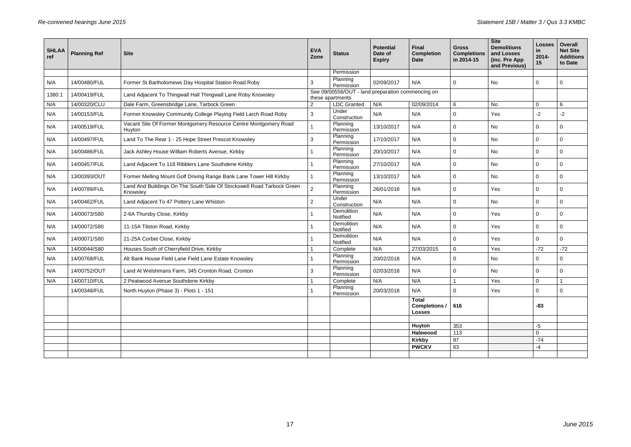| Permission<br>Planning<br>N/A<br>N/A<br>14/00480/FUL<br>Former St Bartholomews Day Hospital Station Road Roby<br>3<br>02/09/2017<br>No<br>0<br>$\mathbf 0$<br>0<br>Permission<br>See 09/00556/OUT - land preparation commencing on<br>14/00419/FUL<br>Land Adjacent To Thingwall Hall Thingwall Lane Roby Knowsley<br>1380.1<br>these apartments<br><b>LDC</b> Granted<br>N/A<br>6<br>$\mathbf 0$<br>N/A<br>14/00320/CLU<br>Dale Farm, Greensbridge Lane, Tarbock Green<br>02/09/2014<br>No<br>6<br>$\overline{2}$<br>Under<br>3<br>N/A<br>N/A<br>$-2$<br>N/A<br>14/00153/FUL<br>Former Knowsley Community College Playing Field Larch Road Roby<br>0<br>$-2$<br>Yes<br>Construction<br>Vacant Site Of Former Montgomery Resource Centre Montgomery Road<br>Planning<br>13/10/2017<br>N/A<br>N/A<br>14/00519/FUL<br>No<br>$\mathbf 0$<br>$\mathbf 0$<br>$\mathbf 0$<br>Huyton<br>Permission<br>Planning<br>Land To The Rear 1 - 25 Hope Street Prescot Knowsley<br>N/A<br>N/A<br>14/00497/FUL<br>$\mathbf{3}$<br>17/10/2017<br>No<br>$\mathbf 0$<br>$\mathbf 0$<br>$\mathbf 0$<br>Permission<br>Planning<br>Jack Ashley House William Roberts Avenue, Kirkby<br>N/A<br>N/A<br>14/00486/FUL<br>20/10/2017<br>$\mathbf 0$<br>No<br>$\mathbf 0$<br>$\mathbf 0$<br>Permission<br>Planning<br>N/A<br>N/A<br>14/00457/FUL<br>Land Adjacent To 118 Ribblers Lane Southdene Kirkby<br>27/10/2017<br>$\mathbf 0$<br>No<br>$\mathbf 0$<br>$\mathbf 0$<br>Permission<br>Planning<br>Former Melling Mount Golf Driving Range Bank Lane Tower Hill Kirkby<br>N/A<br>N/A<br>13/00393/OUT<br>13/10/2017<br>No<br>$\mathbf 0$<br>0<br>0<br>Permission<br>Land And Buildings On The South Side Of Stockswell Road Tarbock Green<br>Planning<br>$\overline{2}$<br>N/A<br>26/01/2018<br>N/A<br>14/00789/FUL<br>Yes<br>0<br>$\mathbf 0$<br>0<br>Knowsley<br>Permission<br>Under<br>$2^{\circ}$<br>N/A<br>N/A<br>14/00462/FUL<br>Land Adjacent To 47 Pottery Lane Whiston<br>N/A<br>No<br>0<br>$\mathbf 0$<br>0<br>Construction<br>Demolition<br>N/A<br>2-6A Thursby Close, Kirkby<br>N/A<br>N/A<br>14/00073/S80<br>Yes<br>$\mathbf 0$<br>$\mathbf 0$<br>0<br>Notified<br>Demolition<br>11-15A Tilston Road, Kirkby<br>N/A<br>N/A<br>N/A<br>14/00072/S80<br>Yes<br>$\mathbf 0$<br>0<br>$\mathbf 0$<br>Notified<br>Demolition<br>N/A<br>N/A<br>N/A<br>14/00071/S80<br>21-25A Corbet Close, Kirkby<br>0<br>Yes<br>$\overline{0}$<br>$\mathbf 0$<br>Notified<br>N/A<br>$\mathbf 0$<br>14/00044/S80<br>Houses South of Cherryfield Drive, Kirkby<br>27/03/2015<br>Yes<br>$-72$<br>$-72$<br>N/A<br>Complete<br>Planning<br>20/02/2018<br>N/A<br>14/00768/FUL<br>Alt Bank House Field Lane Field Lane Estate Knowsley<br>N/A<br>0<br>No<br>0<br>0<br>Permission<br>Planning<br>N/A<br>14/00752/OUT<br>Land At Welshmans Farm, 345 Cronton Road, Cronton<br>3<br>02/03/2018<br>N/A<br>No<br>0<br>0<br>0<br>Permission<br>14/00710/FUL<br>N/A<br>N/A<br>Yes<br>$\overline{0}$<br>N/A<br>2 Peatwood Avenue Southdene Kirkby<br>Complete<br>Planning<br>North Huyton (Phase 3) - Plots 1 - 151<br>14/00348/FUL<br>20/03/2018<br>N/A<br>Yes<br>0<br>0<br>$\overline{0}$<br>Permission<br><b>Total</b><br>Completions / 616<br>$-83$<br><b>Losses</b><br>353<br>Huyton<br>$-5$<br>113<br>$\mathbf 0$<br>Halewood<br>87<br>$-74$<br><b>Kirkby</b><br><b>PWCKV</b><br>63<br>-4 | <b>SHLAA</b><br>ref | <b>Planning Ref</b> | <b>Site</b> | <b>EVA</b><br>Zone | <b>Status</b> | <b>Potential</b><br>Date of<br><b>Expiry</b> | <b>Final</b><br><b>Completion</b><br><b>Date</b> | <b>Gross</b><br><b>Completions</b><br>in 2014-15 | <b>Site</b><br><b>Demolitions</b><br>and Losses<br>(inc. Pre App<br>and Previous) | <b>Losses</b><br><u>in</u><br>2014-<br>$15\,$ | Overall<br><b>Net Site</b><br><b>Additions</b><br>to Date |
|---------------------------------------------------------------------------------------------------------------------------------------------------------------------------------------------------------------------------------------------------------------------------------------------------------------------------------------------------------------------------------------------------------------------------------------------------------------------------------------------------------------------------------------------------------------------------------------------------------------------------------------------------------------------------------------------------------------------------------------------------------------------------------------------------------------------------------------------------------------------------------------------------------------------------------------------------------------------------------------------------------------------------------------------------------------------------------------------------------------------------------------------------------------------------------------------------------------------------------------------------------------------------------------------------------------------------------------------------------------------------------------------------------------------------------------------------------------------------------------------------------------------------------------------------------------------------------------------------------------------------------------------------------------------------------------------------------------------------------------------------------------------------------------------------------------------------------------------------------------------------------------------------------------------------------------------------------------------------------------------------------------------------------------------------------------------------------------------------------------------------------------------------------------------------------------------------------------------------------------------------------------------------------------------------------------------------------------------------------------------------------------------------------------------------------------------------------------------------------------------------------------------------------------------------------------------------------------------------------------------------------------------------------------------------------------------------------------------------------------------------------------------------------------------------------------------------------------------------------------------------------------------------------------------------------------------------------------------------------------------------------------------------------------------------------------------------------------------------------------------------------------------------------------------------------------------------------------------------------------------------------------------------------------------------------------------------------------------|---------------------|---------------------|-------------|--------------------|---------------|----------------------------------------------|--------------------------------------------------|--------------------------------------------------|-----------------------------------------------------------------------------------|-----------------------------------------------|-----------------------------------------------------------|
|                                                                                                                                                                                                                                                                                                                                                                                                                                                                                                                                                                                                                                                                                                                                                                                                                                                                                                                                                                                                                                                                                                                                                                                                                                                                                                                                                                                                                                                                                                                                                                                                                                                                                                                                                                                                                                                                                                                                                                                                                                                                                                                                                                                                                                                                                                                                                                                                                                                                                                                                                                                                                                                                                                                                                                                                                                                                                                                                                                                                                                                                                                                                                                                                                                                                                                                                             |                     |                     |             |                    |               |                                              |                                                  |                                                  |                                                                                   |                                               |                                                           |
|                                                                                                                                                                                                                                                                                                                                                                                                                                                                                                                                                                                                                                                                                                                                                                                                                                                                                                                                                                                                                                                                                                                                                                                                                                                                                                                                                                                                                                                                                                                                                                                                                                                                                                                                                                                                                                                                                                                                                                                                                                                                                                                                                                                                                                                                                                                                                                                                                                                                                                                                                                                                                                                                                                                                                                                                                                                                                                                                                                                                                                                                                                                                                                                                                                                                                                                                             |                     |                     |             |                    |               |                                              |                                                  |                                                  |                                                                                   |                                               |                                                           |
|                                                                                                                                                                                                                                                                                                                                                                                                                                                                                                                                                                                                                                                                                                                                                                                                                                                                                                                                                                                                                                                                                                                                                                                                                                                                                                                                                                                                                                                                                                                                                                                                                                                                                                                                                                                                                                                                                                                                                                                                                                                                                                                                                                                                                                                                                                                                                                                                                                                                                                                                                                                                                                                                                                                                                                                                                                                                                                                                                                                                                                                                                                                                                                                                                                                                                                                                             |                     |                     |             |                    |               |                                              |                                                  |                                                  |                                                                                   |                                               |                                                           |
|                                                                                                                                                                                                                                                                                                                                                                                                                                                                                                                                                                                                                                                                                                                                                                                                                                                                                                                                                                                                                                                                                                                                                                                                                                                                                                                                                                                                                                                                                                                                                                                                                                                                                                                                                                                                                                                                                                                                                                                                                                                                                                                                                                                                                                                                                                                                                                                                                                                                                                                                                                                                                                                                                                                                                                                                                                                                                                                                                                                                                                                                                                                                                                                                                                                                                                                                             |                     |                     |             |                    |               |                                              |                                                  |                                                  |                                                                                   |                                               |                                                           |
|                                                                                                                                                                                                                                                                                                                                                                                                                                                                                                                                                                                                                                                                                                                                                                                                                                                                                                                                                                                                                                                                                                                                                                                                                                                                                                                                                                                                                                                                                                                                                                                                                                                                                                                                                                                                                                                                                                                                                                                                                                                                                                                                                                                                                                                                                                                                                                                                                                                                                                                                                                                                                                                                                                                                                                                                                                                                                                                                                                                                                                                                                                                                                                                                                                                                                                                                             |                     |                     |             |                    |               |                                              |                                                  |                                                  |                                                                                   |                                               |                                                           |
|                                                                                                                                                                                                                                                                                                                                                                                                                                                                                                                                                                                                                                                                                                                                                                                                                                                                                                                                                                                                                                                                                                                                                                                                                                                                                                                                                                                                                                                                                                                                                                                                                                                                                                                                                                                                                                                                                                                                                                                                                                                                                                                                                                                                                                                                                                                                                                                                                                                                                                                                                                                                                                                                                                                                                                                                                                                                                                                                                                                                                                                                                                                                                                                                                                                                                                                                             |                     |                     |             |                    |               |                                              |                                                  |                                                  |                                                                                   |                                               |                                                           |
|                                                                                                                                                                                                                                                                                                                                                                                                                                                                                                                                                                                                                                                                                                                                                                                                                                                                                                                                                                                                                                                                                                                                                                                                                                                                                                                                                                                                                                                                                                                                                                                                                                                                                                                                                                                                                                                                                                                                                                                                                                                                                                                                                                                                                                                                                                                                                                                                                                                                                                                                                                                                                                                                                                                                                                                                                                                                                                                                                                                                                                                                                                                                                                                                                                                                                                                                             |                     |                     |             |                    |               |                                              |                                                  |                                                  |                                                                                   |                                               |                                                           |
|                                                                                                                                                                                                                                                                                                                                                                                                                                                                                                                                                                                                                                                                                                                                                                                                                                                                                                                                                                                                                                                                                                                                                                                                                                                                                                                                                                                                                                                                                                                                                                                                                                                                                                                                                                                                                                                                                                                                                                                                                                                                                                                                                                                                                                                                                                                                                                                                                                                                                                                                                                                                                                                                                                                                                                                                                                                                                                                                                                                                                                                                                                                                                                                                                                                                                                                                             |                     |                     |             |                    |               |                                              |                                                  |                                                  |                                                                                   |                                               |                                                           |
|                                                                                                                                                                                                                                                                                                                                                                                                                                                                                                                                                                                                                                                                                                                                                                                                                                                                                                                                                                                                                                                                                                                                                                                                                                                                                                                                                                                                                                                                                                                                                                                                                                                                                                                                                                                                                                                                                                                                                                                                                                                                                                                                                                                                                                                                                                                                                                                                                                                                                                                                                                                                                                                                                                                                                                                                                                                                                                                                                                                                                                                                                                                                                                                                                                                                                                                                             |                     |                     |             |                    |               |                                              |                                                  |                                                  |                                                                                   |                                               |                                                           |
|                                                                                                                                                                                                                                                                                                                                                                                                                                                                                                                                                                                                                                                                                                                                                                                                                                                                                                                                                                                                                                                                                                                                                                                                                                                                                                                                                                                                                                                                                                                                                                                                                                                                                                                                                                                                                                                                                                                                                                                                                                                                                                                                                                                                                                                                                                                                                                                                                                                                                                                                                                                                                                                                                                                                                                                                                                                                                                                                                                                                                                                                                                                                                                                                                                                                                                                                             |                     |                     |             |                    |               |                                              |                                                  |                                                  |                                                                                   |                                               |                                                           |
|                                                                                                                                                                                                                                                                                                                                                                                                                                                                                                                                                                                                                                                                                                                                                                                                                                                                                                                                                                                                                                                                                                                                                                                                                                                                                                                                                                                                                                                                                                                                                                                                                                                                                                                                                                                                                                                                                                                                                                                                                                                                                                                                                                                                                                                                                                                                                                                                                                                                                                                                                                                                                                                                                                                                                                                                                                                                                                                                                                                                                                                                                                                                                                                                                                                                                                                                             |                     |                     |             |                    |               |                                              |                                                  |                                                  |                                                                                   |                                               |                                                           |
|                                                                                                                                                                                                                                                                                                                                                                                                                                                                                                                                                                                                                                                                                                                                                                                                                                                                                                                                                                                                                                                                                                                                                                                                                                                                                                                                                                                                                                                                                                                                                                                                                                                                                                                                                                                                                                                                                                                                                                                                                                                                                                                                                                                                                                                                                                                                                                                                                                                                                                                                                                                                                                                                                                                                                                                                                                                                                                                                                                                                                                                                                                                                                                                                                                                                                                                                             |                     |                     |             |                    |               |                                              |                                                  |                                                  |                                                                                   |                                               |                                                           |
|                                                                                                                                                                                                                                                                                                                                                                                                                                                                                                                                                                                                                                                                                                                                                                                                                                                                                                                                                                                                                                                                                                                                                                                                                                                                                                                                                                                                                                                                                                                                                                                                                                                                                                                                                                                                                                                                                                                                                                                                                                                                                                                                                                                                                                                                                                                                                                                                                                                                                                                                                                                                                                                                                                                                                                                                                                                                                                                                                                                                                                                                                                                                                                                                                                                                                                                                             |                     |                     |             |                    |               |                                              |                                                  |                                                  |                                                                                   |                                               |                                                           |
|                                                                                                                                                                                                                                                                                                                                                                                                                                                                                                                                                                                                                                                                                                                                                                                                                                                                                                                                                                                                                                                                                                                                                                                                                                                                                                                                                                                                                                                                                                                                                                                                                                                                                                                                                                                                                                                                                                                                                                                                                                                                                                                                                                                                                                                                                                                                                                                                                                                                                                                                                                                                                                                                                                                                                                                                                                                                                                                                                                                                                                                                                                                                                                                                                                                                                                                                             |                     |                     |             |                    |               |                                              |                                                  |                                                  |                                                                                   |                                               |                                                           |
|                                                                                                                                                                                                                                                                                                                                                                                                                                                                                                                                                                                                                                                                                                                                                                                                                                                                                                                                                                                                                                                                                                                                                                                                                                                                                                                                                                                                                                                                                                                                                                                                                                                                                                                                                                                                                                                                                                                                                                                                                                                                                                                                                                                                                                                                                                                                                                                                                                                                                                                                                                                                                                                                                                                                                                                                                                                                                                                                                                                                                                                                                                                                                                                                                                                                                                                                             |                     |                     |             |                    |               |                                              |                                                  |                                                  |                                                                                   |                                               |                                                           |
|                                                                                                                                                                                                                                                                                                                                                                                                                                                                                                                                                                                                                                                                                                                                                                                                                                                                                                                                                                                                                                                                                                                                                                                                                                                                                                                                                                                                                                                                                                                                                                                                                                                                                                                                                                                                                                                                                                                                                                                                                                                                                                                                                                                                                                                                                                                                                                                                                                                                                                                                                                                                                                                                                                                                                                                                                                                                                                                                                                                                                                                                                                                                                                                                                                                                                                                                             |                     |                     |             |                    |               |                                              |                                                  |                                                  |                                                                                   |                                               |                                                           |
|                                                                                                                                                                                                                                                                                                                                                                                                                                                                                                                                                                                                                                                                                                                                                                                                                                                                                                                                                                                                                                                                                                                                                                                                                                                                                                                                                                                                                                                                                                                                                                                                                                                                                                                                                                                                                                                                                                                                                                                                                                                                                                                                                                                                                                                                                                                                                                                                                                                                                                                                                                                                                                                                                                                                                                                                                                                                                                                                                                                                                                                                                                                                                                                                                                                                                                                                             |                     |                     |             |                    |               |                                              |                                                  |                                                  |                                                                                   |                                               |                                                           |
|                                                                                                                                                                                                                                                                                                                                                                                                                                                                                                                                                                                                                                                                                                                                                                                                                                                                                                                                                                                                                                                                                                                                                                                                                                                                                                                                                                                                                                                                                                                                                                                                                                                                                                                                                                                                                                                                                                                                                                                                                                                                                                                                                                                                                                                                                                                                                                                                                                                                                                                                                                                                                                                                                                                                                                                                                                                                                                                                                                                                                                                                                                                                                                                                                                                                                                                                             |                     |                     |             |                    |               |                                              |                                                  |                                                  |                                                                                   |                                               |                                                           |
|                                                                                                                                                                                                                                                                                                                                                                                                                                                                                                                                                                                                                                                                                                                                                                                                                                                                                                                                                                                                                                                                                                                                                                                                                                                                                                                                                                                                                                                                                                                                                                                                                                                                                                                                                                                                                                                                                                                                                                                                                                                                                                                                                                                                                                                                                                                                                                                                                                                                                                                                                                                                                                                                                                                                                                                                                                                                                                                                                                                                                                                                                                                                                                                                                                                                                                                                             |                     |                     |             |                    |               |                                              |                                                  |                                                  |                                                                                   |                                               |                                                           |
|                                                                                                                                                                                                                                                                                                                                                                                                                                                                                                                                                                                                                                                                                                                                                                                                                                                                                                                                                                                                                                                                                                                                                                                                                                                                                                                                                                                                                                                                                                                                                                                                                                                                                                                                                                                                                                                                                                                                                                                                                                                                                                                                                                                                                                                                                                                                                                                                                                                                                                                                                                                                                                                                                                                                                                                                                                                                                                                                                                                                                                                                                                                                                                                                                                                                                                                                             |                     |                     |             |                    |               |                                              |                                                  |                                                  |                                                                                   |                                               |                                                           |
|                                                                                                                                                                                                                                                                                                                                                                                                                                                                                                                                                                                                                                                                                                                                                                                                                                                                                                                                                                                                                                                                                                                                                                                                                                                                                                                                                                                                                                                                                                                                                                                                                                                                                                                                                                                                                                                                                                                                                                                                                                                                                                                                                                                                                                                                                                                                                                                                                                                                                                                                                                                                                                                                                                                                                                                                                                                                                                                                                                                                                                                                                                                                                                                                                                                                                                                                             |                     |                     |             |                    |               |                                              |                                                  |                                                  |                                                                                   |                                               |                                                           |
|                                                                                                                                                                                                                                                                                                                                                                                                                                                                                                                                                                                                                                                                                                                                                                                                                                                                                                                                                                                                                                                                                                                                                                                                                                                                                                                                                                                                                                                                                                                                                                                                                                                                                                                                                                                                                                                                                                                                                                                                                                                                                                                                                                                                                                                                                                                                                                                                                                                                                                                                                                                                                                                                                                                                                                                                                                                                                                                                                                                                                                                                                                                                                                                                                                                                                                                                             |                     |                     |             |                    |               |                                              |                                                  |                                                  |                                                                                   |                                               |                                                           |
|                                                                                                                                                                                                                                                                                                                                                                                                                                                                                                                                                                                                                                                                                                                                                                                                                                                                                                                                                                                                                                                                                                                                                                                                                                                                                                                                                                                                                                                                                                                                                                                                                                                                                                                                                                                                                                                                                                                                                                                                                                                                                                                                                                                                                                                                                                                                                                                                                                                                                                                                                                                                                                                                                                                                                                                                                                                                                                                                                                                                                                                                                                                                                                                                                                                                                                                                             |                     |                     |             |                    |               |                                              |                                                  |                                                  |                                                                                   |                                               |                                                           |
|                                                                                                                                                                                                                                                                                                                                                                                                                                                                                                                                                                                                                                                                                                                                                                                                                                                                                                                                                                                                                                                                                                                                                                                                                                                                                                                                                                                                                                                                                                                                                                                                                                                                                                                                                                                                                                                                                                                                                                                                                                                                                                                                                                                                                                                                                                                                                                                                                                                                                                                                                                                                                                                                                                                                                                                                                                                                                                                                                                                                                                                                                                                                                                                                                                                                                                                                             |                     |                     |             |                    |               |                                              |                                                  |                                                  |                                                                                   |                                               |                                                           |
|                                                                                                                                                                                                                                                                                                                                                                                                                                                                                                                                                                                                                                                                                                                                                                                                                                                                                                                                                                                                                                                                                                                                                                                                                                                                                                                                                                                                                                                                                                                                                                                                                                                                                                                                                                                                                                                                                                                                                                                                                                                                                                                                                                                                                                                                                                                                                                                                                                                                                                                                                                                                                                                                                                                                                                                                                                                                                                                                                                                                                                                                                                                                                                                                                                                                                                                                             |                     |                     |             |                    |               |                                              |                                                  |                                                  |                                                                                   |                                               |                                                           |
|                                                                                                                                                                                                                                                                                                                                                                                                                                                                                                                                                                                                                                                                                                                                                                                                                                                                                                                                                                                                                                                                                                                                                                                                                                                                                                                                                                                                                                                                                                                                                                                                                                                                                                                                                                                                                                                                                                                                                                                                                                                                                                                                                                                                                                                                                                                                                                                                                                                                                                                                                                                                                                                                                                                                                                                                                                                                                                                                                                                                                                                                                                                                                                                                                                                                                                                                             |                     |                     |             |                    |               |                                              |                                                  |                                                  |                                                                                   |                                               |                                                           |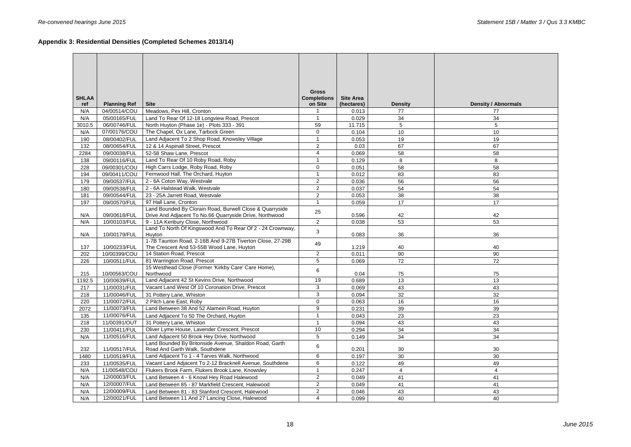# **Appendix 3: Residential Densities (Completed Schemes 2013/14)**

| <b>SHLAA</b><br>ref | <b>Planning Ref</b> | <b>Site</b>                                                                                                         | <b>Gross</b><br><b>Completions</b><br>on Site | <b>Site Area</b><br>(hectares) | <b>Density</b> | <b>Density / Abnormals</b> |
|---------------------|---------------------|---------------------------------------------------------------------------------------------------------------------|-----------------------------------------------|--------------------------------|----------------|----------------------------|
| N/A                 | 04/00514/COU        | Meadows, Pex Hill, Cronton                                                                                          |                                               | 0.013                          | 77             | 77                         |
| N/A                 | 05/00165/FUL        | Land To Rear Of 12-18 Longview Road, Prescot                                                                        |                                               | 0.029                          | 34             | 34                         |
| 3010.5              | 06/00746/FUL        | North Huyton (Phase 1e) - Plots 333 - 391                                                                           | 59                                            | 11.715                         | 5              | 5                          |
| N/A                 | 07/00176/COU        | The Chapel, Ox Lane, Tarbock Green                                                                                  | $\overline{0}$                                | 0.104                          | 10             | 10                         |
| 190                 | 08/00402/FUL        | Land Adjacent To 2 Shop Road, Knowsley Village                                                                      | 1                                             | 0.053                          | 19             | 19                         |
| 132                 | 08/00654/FUL        | 12 & 14 Aspinall Street, Prescot                                                                                    | $\overline{2}$                                | 0.03                           | 67             | 67                         |
| 2284                | 09/00038/FUL        | 52-58 Shaw Lane, Prescot                                                                                            | $\overline{4}$                                | 0.069                          | 58             | 58                         |
| 138                 | 09/00116/FUL        | Land To Rear Of 10 Roby Road, Roby                                                                                  |                                               | 0.129                          | 8              | 8                          |
| 228                 | 09/00301/COU        | High Carrs Lodge, Roby Road, Roby                                                                                   | $\overline{0}$                                | 0.051                          | 58             | 58                         |
| 194                 | 09/00411/COU        | Fernwood Hall, The Orchard, Huyton                                                                                  |                                               | 0.012                          | 83             | 83                         |
| 179                 | 09/00537/FUL        | 2 - 6A Coton Way, Westvale                                                                                          | $\overline{2}$                                | 0.036                          | 56             | 56                         |
| 180                 | 09/00538/FUL        | 2 - 6A Halstead Walk, Westvale                                                                                      | $\overline{2}$                                | 0.037                          | 54             | 54                         |
| 181                 | 09/00544/FUL        | 23 - 25A Jarrett Road, Westvale                                                                                     | $\overline{2}$                                | 0.053                          | 38             | 38                         |
| 197                 | 09/00570/FUL        | 97 Hall Lane, Cronton                                                                                               |                                               | 0.059                          | 17             | 17                         |
| N/A                 | 09/00618/FUL        | Land Bounded By Clorain Road, Burwell Close & Quarryside<br>Drive And Adjacent To No.66 Quarryside Drive, Northwood | 25                                            | 0.596                          | 42             | 42                         |
| N/A                 | 10/00103/FUL        | 9 - 11A Kenbury Close, Northwood                                                                                    | $\overline{2}$                                | 0.038                          | 53             | 53                         |
| N/A                 | 10/00179/FUL        | Land To North Of Kingswood And To Rear Of 2 - 24 Crownway,<br>Huyton                                                | 3                                             | 0.083                          | 36             | 36                         |
| 137                 | 10/00233/FUL        | 1-7B Taunton Road, 2-16B And 9-27B Tiverton Close, 27-29B<br>The Crescent And 53-55B Wood Lane, Huyton              | 49                                            | 1.219                          | 40             | 40                         |
| 202                 | 10/00399/COU        | 14 Station Road, Prescot                                                                                            | $\overline{2}$                                | 0.011                          | 90             | 90                         |
| 226                 | 10/00511/FUL        | 81 Warrington Road, Prescot                                                                                         | 5                                             | 0.069                          | 72             | 72                         |
| 215                 | 10/00563/COU        | 15 Westhead Close (Former 'Kirkby Care' Care Home),<br>Northwood                                                    | 6                                             | 0.04                           | 75             | 75                         |
| 1192.5              | 10/00639/FUL        | Land Adjacent 42 St Kevins Drive, Northwood                                                                         | 19                                            | 0.689                          | 13             | 13                         |
| 217                 | 11/00031/FUL        | Vacant Land West Of 10 Coronation Drive, Prescot                                                                    | 3                                             | 0.069                          | 43             | 43                         |
| 218                 | 11/00046/FUL        | 31 Pottery Lane, Whiston                                                                                            | 3                                             | 0.094                          | 32             | 32                         |
| 220                 | 11/00072/FUL        | 2 Pilch Lane East, Roby                                                                                             | $\mathbf 0$                                   | 0.063                          | 16             | 16                         |
| 2072                | 11/00073/FUL        | Land Between 38 And 52 Alamein Road, Huyton                                                                         | 9                                             | 0.231                          | 39             | 39                         |
| 135                 | 11/00076/FUL        | Land Adjacent To 50 The Orchard, Huyton                                                                             |                                               | 0.043                          | 23             | 23                         |
| 218                 | 11/00391/OUT        | 31 Pottery Lane, Whiston                                                                                            |                                               | 0.094                          | 43             | 43                         |
| 230                 | 11/00411/FUL        | Oliver Lyme House, Lavender Crescent, Prescot                                                                       | 10                                            | 0.294                          | 34             | 34                         |
| N/A                 | 11/00516/FUL        | Land Adjacent 50 Brook Hey Drive, Northwood                                                                         | 5                                             | 0.149                          | 34             | 34                         |
|                     |                     | Land Bounded By Britonside Avenue, Shaldon Road, Garth                                                              | 6                                             |                                |                |                            |
| 232                 | 11/00517/FUL        | Road And Garth Walk, Southdene                                                                                      |                                               | 0.201                          | 30             | 30                         |
| 1480                | 11/00519/FUL        | Land Adjacent To 1 - 4 Tarves Walk, Northwood                                                                       | 6                                             | 0.197                          | 30             | 30                         |
| 233                 | 11/00535/FUL        | Vacant Land Adjacent To 2-12 Bracknell Avenue, Southdene                                                            | 6                                             | 0.122                          | 49             | 49                         |
| N/A                 | 11/00548/COU        | Flukers Brook Farm, Flukers Brook Lane, Knowsley                                                                    |                                               | 0.247                          | $\overline{4}$ | $\overline{4}$             |
| N/A                 | 12/00003/FUL        | Land Between 4 - 6 Knowl Hey Road Halewood                                                                          | $\overline{2}$                                | 0.049                          | 41             | 41                         |
| N/A                 | 12/00007/FUL        | Land Between 85 - 87 Markfield Crescent, Halewood                                                                   | $\overline{2}$                                | 0.049                          | 41             | 41                         |
| N/A                 | 12/00009/FUL        | Land Between 81 - 83 Stanford Crescent, Halewood                                                                    | $\overline{2}$                                | 0.046                          | 43             | 43                         |
| N/A                 | 12/00021/FUL        | Land Between 11 And 27 Lancing Close, Halewood                                                                      | 4                                             | 0.099                          | 40             | 40                         |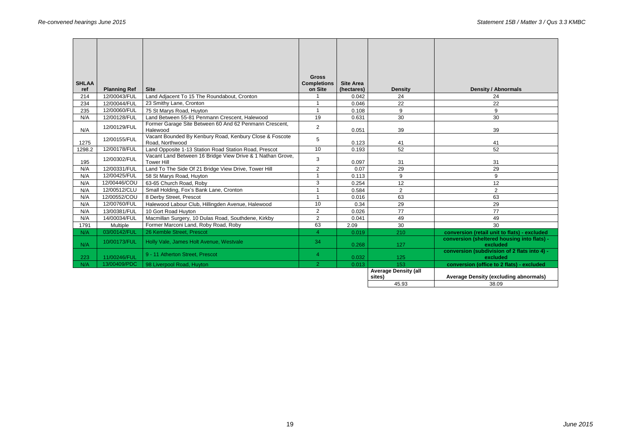| <b>SHLAA</b> |                              | <b>Site</b>                                                                     | <b>Gross</b><br><b>Completions</b><br>on Site | <b>Site Area</b>    |                                       |                                                          |
|--------------|------------------------------|---------------------------------------------------------------------------------|-----------------------------------------------|---------------------|---------------------------------------|----------------------------------------------------------|
| ref<br>214   | <b>Planning Ref</b>          |                                                                                 |                                               | (hectares)<br>0.042 | <b>Density</b>                        | <b>Density / Abnormals</b>                               |
| 234          | 12/00043/FUL<br>12/00044/FUL | Land Adjacent To 15 The Roundabout, Cronton<br>23 Smithy Lane, Cronton          |                                               | 0.046               | 24<br>22                              | 24<br>22                                                 |
|              |                              |                                                                                 | $\overline{\mathbf{1}}$                       |                     |                                       |                                                          |
| 235          | 12/00060/FUL                 | 75 St Marys Road, Huyton<br>Land Between 55-81 Penmann Crescent, Halewood       | 19                                            | 0.108               | 9                                     | 9                                                        |
| N/A          | 12/00128/FUL                 | Former Garage Site Between 60 And 62 Penmann Crescent,                          |                                               | 0.631               | 30                                    | 30                                                       |
| N/A          | 12/00129/FUL                 | Halewood                                                                        | $\overline{2}$                                | 0.051               | 39                                    | 39                                                       |
| 1275         | 12/00155/FUL                 | Vacant Bounded By Kenbury Road, Kenbury Close & Foscote<br>Road, Northwood      | 5                                             | 0.123               | 41                                    | 41                                                       |
| 1298.2       | 12/00178/FUL                 | Land Opposite 1-13 Station Road Station Road, Prescot                           | 10                                            | 0.193               | 52                                    | 52                                                       |
| 195          | 12/00302/FUL                 | Vacant Land Between 16 Bridge View Drive & 1 Nathan Grove,<br><b>Tower Hill</b> | 3                                             | 0.097               | 31                                    | 31                                                       |
| N/A          | 12/00331/FUL                 | Land To The Side Of 21 Bridge View Drive, Tower Hill                            | $\overline{2}$                                | 0.07                | 29                                    | 29                                                       |
| N/A          | 12/00425/FUL                 | 58 St Marys Road, Huyton                                                        |                                               | 0.113               | 9                                     | 9                                                        |
| N/A          | 12/00446/COU                 | 63-65 Church Road, Roby                                                         | 3                                             | 0.254               | 12                                    | 12                                                       |
| N/A          | 12/00512/CLU                 | Small Holding, Fox's Bank Lane, Cronton                                         |                                               | 0.584               | $\overline{2}$                        | $\overline{2}$                                           |
| N/A          | 12/00552/COU                 | 8 Derby Street, Prescot                                                         |                                               | 0.016               | 63                                    | 63                                                       |
| N/A          | 12/00760/FUL                 | Halewood Labour Club, Hillingden Avenue, Halewood                               | 10                                            | 0.34                | 29                                    | 29                                                       |
| N/A          | 13/00381/FUL                 | 10 Gort Road Huyton                                                             | $\overline{2}$                                | 0.026               | 77                                    | 77                                                       |
| N/A          | 14/00034/FUL                 | Macmillan Surgery, 10 Dulas Road, Southdene, Kirkby                             | $\overline{2}$                                | 0.041               | 49                                    | 49                                                       |
| 1791         | Multiple                     | Former Marconi Land, Roby Road, Roby                                            | 63                                            | 2.09                | 30                                    | 30                                                       |
| N/A          | 03/00142/FUL                 | 26 Kemble Street, Prescot                                                       | 4                                             | 0.019               | 210                                   | conversion (retail unit to flats) - excluded             |
| N/A          | 10/00173/FUL                 | Holly Vale, James Holt Avenue, Westvale                                         | 34                                            | 0.268               | 127                                   | conversion (sheltered housing into flats) -<br>excluded  |
| 223          | 11/00246/FUL                 | 9 - 11 Atherton Street, Prescot                                                 | $\overline{4}$                                | 0.032               | 125                                   | conversion (subdivision of 2 flats into 4) -<br>excluded |
| N/A          | 13/00409/PDC                 | 98 Liverpool Road, Huyton                                                       | $\overline{2}$                                | 0.013               | 153                                   | conversion (office to 2 flats) - excluded                |
|              |                              |                                                                                 |                                               |                     | <b>Average Density (all</b><br>sites) | <b>Average Density (excluding abnormals)</b>             |
|              |                              |                                                                                 |                                               |                     | 45.93                                 | 38.09                                                    |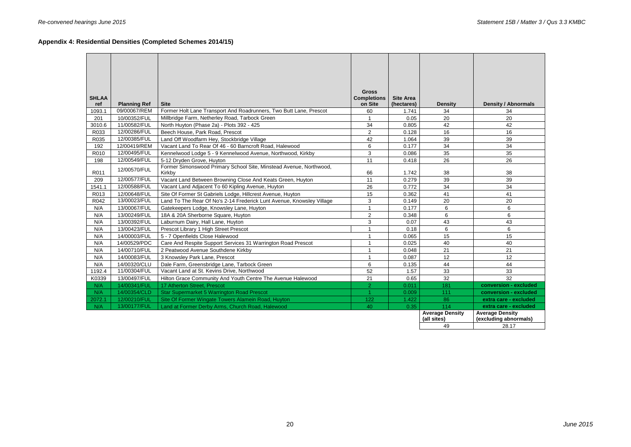# **Appendix 4: Residential Densities (Completed Schemes 2014/15)**

| <b>Gross</b><br><b>SHLAA</b><br><b>Completions</b><br><b>Site Area</b><br>ref<br><b>Planning Ref</b><br><b>Site</b><br>on Site<br>(hectares)<br><b>Density / Abnormals</b><br><b>Density</b><br>09/00067/REM<br>Former Holt Lane Transport And Roadrunners, Two Butt Lane, Prescot<br>1093.1<br>60<br>34<br>34<br>1.741<br>10/00352/FUL<br>Millbridge Farm, Netherley Road, Tarbock Green<br>0.05<br>20<br>20<br>201<br>$\mathbf{1}$<br>11/00582/FUL<br>3010.6<br>34<br>42<br>42<br>North Huyton (Phase 2a) - Plots 392 - 425<br>0.805<br>R033<br>12/00286/FUL<br>Beech House, Park Road, Prescot<br>$\overline{2}$<br>16<br>16<br>0.128<br>12/00385/FUL<br>39<br>39<br>R035<br>Land Off Woodfarm Hey, Stockbridge Village<br>42<br>1.064<br>34<br>6<br>34<br>192<br>12/00419/REM<br>Vacant Land To Rear Of 46 - 60 Barncroft Road, Halewood<br>0.177<br>12/00495/FUL<br>3<br>35<br>35<br>R010<br>Kennelwood Lodge 5 - 9 Kennelwood Avenue, Northwood, Kirkby<br>0.086<br>12/00549/FUL<br>26<br>26<br>11<br>198<br>5-12 Dryden Grove, Huyton<br>0.418<br>Former Simonswood Primary School Site, Minstead Avenue, Northwood,<br>12/00570/FUL<br>R011<br>38<br>38<br>Kirkby<br>66<br>1.742<br>12/00577/FUL<br>39<br>39<br>209<br>Vacant Land Between Browning Close And Keats Green, Huyton<br>11<br>0.279<br>34<br>34<br>1541.1<br>12/00588/FUL<br>Vacant Land Adjacent To 60 Kipling Avenue, Huyton<br>26<br>0.772<br>15<br>41<br>41<br>R013<br>12/00648/FUL<br>Site Of Former St Gabriels Lodge, Hillcrest Avenue, Huyton<br>0.362<br>13/00023/FUL<br>3<br>20<br>20<br>R042<br>Land To The Rear Of No's 2-14 Frederick Lunt Avenue, Knowsley Village<br>0.149<br>6<br>$\overline{1}$<br>6<br>N/A<br>0.177<br>13/00067/FUL<br>Gatekeepers Lodge, Knowsley Lane, Huyton<br>$\overline{2}$<br>6<br>6<br>N/A<br>13/00249/FUL<br>18A & 20A Sherborne Square, Huyton<br>0.348<br>N/A<br>3<br>0.07<br>43<br>13/00392/FUL<br>Laburnum Dairy, Hall Lane, Huyton<br>43<br>N/A<br>6<br>6<br>13/00423/FUL<br>Prescot Library 1 High Street Prescot<br>$\mathbf{1}$<br>0.18<br>15<br>N/A<br>14/00003/FUL<br>5 - 7 Openfields Close Halewood<br>0.065<br>15<br>$\overline{1}$<br>N/A<br>14/00529/PDC<br>Care And Respite Support Services 31 Warrington Road Prescot<br>$\mathbf{1}$<br>0.025<br>40<br>40<br>N/A<br>21<br>21<br>14/00710/FUL<br>2 Peatwood Avenue Southdene Kirkby<br>$\overline{1}$<br>0.048<br>N/A<br>12<br>12<br>$\overline{1}$<br>0.087<br>14/00083/FUL<br>3 Knowsley Park Lane, Prescot<br>N/A<br>$6\phantom{1}$<br>44<br>44<br>0.135<br>14/00320/CLU<br>Dale Farm, Greensbridge Lane, Tarbock Green<br>11/00304/FUL<br>52<br>33<br>33<br>Vacant Land at St. Kevins Drive, Northwood<br>1.57<br>1192.4<br>32 |       |              |                                                             |    |      |    |  |
|----------------------------------------------------------------------------------------------------------------------------------------------------------------------------------------------------------------------------------------------------------------------------------------------------------------------------------------------------------------------------------------------------------------------------------------------------------------------------------------------------------------------------------------------------------------------------------------------------------------------------------------------------------------------------------------------------------------------------------------------------------------------------------------------------------------------------------------------------------------------------------------------------------------------------------------------------------------------------------------------------------------------------------------------------------------------------------------------------------------------------------------------------------------------------------------------------------------------------------------------------------------------------------------------------------------------------------------------------------------------------------------------------------------------------------------------------------------------------------------------------------------------------------------------------------------------------------------------------------------------------------------------------------------------------------------------------------------------------------------------------------------------------------------------------------------------------------------------------------------------------------------------------------------------------------------------------------------------------------------------------------------------------------------------------------------------------------------------------------------------------------------------------------------------------------------------------------------------------------------------------------------------------------------------------------------------------------------------------------------------------------------------------------------------------------------------------------------------------------------------------------------------------------------------------------------------------------------------------------------------------------------------------------------------------------------------------------------------|-------|--------------|-------------------------------------------------------------|----|------|----|--|
|                                                                                                                                                                                                                                                                                                                                                                                                                                                                                                                                                                                                                                                                                                                                                                                                                                                                                                                                                                                                                                                                                                                                                                                                                                                                                                                                                                                                                                                                                                                                                                                                                                                                                                                                                                                                                                                                                                                                                                                                                                                                                                                                                                                                                                                                                                                                                                                                                                                                                                                                                                                                                                                                                                                      |       |              |                                                             |    |      |    |  |
|                                                                                                                                                                                                                                                                                                                                                                                                                                                                                                                                                                                                                                                                                                                                                                                                                                                                                                                                                                                                                                                                                                                                                                                                                                                                                                                                                                                                                                                                                                                                                                                                                                                                                                                                                                                                                                                                                                                                                                                                                                                                                                                                                                                                                                                                                                                                                                                                                                                                                                                                                                                                                                                                                                                      |       |              |                                                             |    |      |    |  |
|                                                                                                                                                                                                                                                                                                                                                                                                                                                                                                                                                                                                                                                                                                                                                                                                                                                                                                                                                                                                                                                                                                                                                                                                                                                                                                                                                                                                                                                                                                                                                                                                                                                                                                                                                                                                                                                                                                                                                                                                                                                                                                                                                                                                                                                                                                                                                                                                                                                                                                                                                                                                                                                                                                                      |       |              |                                                             |    |      |    |  |
|                                                                                                                                                                                                                                                                                                                                                                                                                                                                                                                                                                                                                                                                                                                                                                                                                                                                                                                                                                                                                                                                                                                                                                                                                                                                                                                                                                                                                                                                                                                                                                                                                                                                                                                                                                                                                                                                                                                                                                                                                                                                                                                                                                                                                                                                                                                                                                                                                                                                                                                                                                                                                                                                                                                      |       |              |                                                             |    |      |    |  |
|                                                                                                                                                                                                                                                                                                                                                                                                                                                                                                                                                                                                                                                                                                                                                                                                                                                                                                                                                                                                                                                                                                                                                                                                                                                                                                                                                                                                                                                                                                                                                                                                                                                                                                                                                                                                                                                                                                                                                                                                                                                                                                                                                                                                                                                                                                                                                                                                                                                                                                                                                                                                                                                                                                                      |       |              |                                                             |    |      |    |  |
|                                                                                                                                                                                                                                                                                                                                                                                                                                                                                                                                                                                                                                                                                                                                                                                                                                                                                                                                                                                                                                                                                                                                                                                                                                                                                                                                                                                                                                                                                                                                                                                                                                                                                                                                                                                                                                                                                                                                                                                                                                                                                                                                                                                                                                                                                                                                                                                                                                                                                                                                                                                                                                                                                                                      |       |              |                                                             |    |      |    |  |
|                                                                                                                                                                                                                                                                                                                                                                                                                                                                                                                                                                                                                                                                                                                                                                                                                                                                                                                                                                                                                                                                                                                                                                                                                                                                                                                                                                                                                                                                                                                                                                                                                                                                                                                                                                                                                                                                                                                                                                                                                                                                                                                                                                                                                                                                                                                                                                                                                                                                                                                                                                                                                                                                                                                      |       |              |                                                             |    |      |    |  |
|                                                                                                                                                                                                                                                                                                                                                                                                                                                                                                                                                                                                                                                                                                                                                                                                                                                                                                                                                                                                                                                                                                                                                                                                                                                                                                                                                                                                                                                                                                                                                                                                                                                                                                                                                                                                                                                                                                                                                                                                                                                                                                                                                                                                                                                                                                                                                                                                                                                                                                                                                                                                                                                                                                                      |       |              |                                                             |    |      |    |  |
|                                                                                                                                                                                                                                                                                                                                                                                                                                                                                                                                                                                                                                                                                                                                                                                                                                                                                                                                                                                                                                                                                                                                                                                                                                                                                                                                                                                                                                                                                                                                                                                                                                                                                                                                                                                                                                                                                                                                                                                                                                                                                                                                                                                                                                                                                                                                                                                                                                                                                                                                                                                                                                                                                                                      |       |              |                                                             |    |      |    |  |
|                                                                                                                                                                                                                                                                                                                                                                                                                                                                                                                                                                                                                                                                                                                                                                                                                                                                                                                                                                                                                                                                                                                                                                                                                                                                                                                                                                                                                                                                                                                                                                                                                                                                                                                                                                                                                                                                                                                                                                                                                                                                                                                                                                                                                                                                                                                                                                                                                                                                                                                                                                                                                                                                                                                      |       |              |                                                             |    |      |    |  |
|                                                                                                                                                                                                                                                                                                                                                                                                                                                                                                                                                                                                                                                                                                                                                                                                                                                                                                                                                                                                                                                                                                                                                                                                                                                                                                                                                                                                                                                                                                                                                                                                                                                                                                                                                                                                                                                                                                                                                                                                                                                                                                                                                                                                                                                                                                                                                                                                                                                                                                                                                                                                                                                                                                                      |       |              |                                                             |    |      |    |  |
|                                                                                                                                                                                                                                                                                                                                                                                                                                                                                                                                                                                                                                                                                                                                                                                                                                                                                                                                                                                                                                                                                                                                                                                                                                                                                                                                                                                                                                                                                                                                                                                                                                                                                                                                                                                                                                                                                                                                                                                                                                                                                                                                                                                                                                                                                                                                                                                                                                                                                                                                                                                                                                                                                                                      |       |              |                                                             |    |      |    |  |
|                                                                                                                                                                                                                                                                                                                                                                                                                                                                                                                                                                                                                                                                                                                                                                                                                                                                                                                                                                                                                                                                                                                                                                                                                                                                                                                                                                                                                                                                                                                                                                                                                                                                                                                                                                                                                                                                                                                                                                                                                                                                                                                                                                                                                                                                                                                                                                                                                                                                                                                                                                                                                                                                                                                      |       |              |                                                             |    |      |    |  |
|                                                                                                                                                                                                                                                                                                                                                                                                                                                                                                                                                                                                                                                                                                                                                                                                                                                                                                                                                                                                                                                                                                                                                                                                                                                                                                                                                                                                                                                                                                                                                                                                                                                                                                                                                                                                                                                                                                                                                                                                                                                                                                                                                                                                                                                                                                                                                                                                                                                                                                                                                                                                                                                                                                                      |       |              |                                                             |    |      |    |  |
|                                                                                                                                                                                                                                                                                                                                                                                                                                                                                                                                                                                                                                                                                                                                                                                                                                                                                                                                                                                                                                                                                                                                                                                                                                                                                                                                                                                                                                                                                                                                                                                                                                                                                                                                                                                                                                                                                                                                                                                                                                                                                                                                                                                                                                                                                                                                                                                                                                                                                                                                                                                                                                                                                                                      |       |              |                                                             |    |      |    |  |
|                                                                                                                                                                                                                                                                                                                                                                                                                                                                                                                                                                                                                                                                                                                                                                                                                                                                                                                                                                                                                                                                                                                                                                                                                                                                                                                                                                                                                                                                                                                                                                                                                                                                                                                                                                                                                                                                                                                                                                                                                                                                                                                                                                                                                                                                                                                                                                                                                                                                                                                                                                                                                                                                                                                      |       |              |                                                             |    |      |    |  |
|                                                                                                                                                                                                                                                                                                                                                                                                                                                                                                                                                                                                                                                                                                                                                                                                                                                                                                                                                                                                                                                                                                                                                                                                                                                                                                                                                                                                                                                                                                                                                                                                                                                                                                                                                                                                                                                                                                                                                                                                                                                                                                                                                                                                                                                                                                                                                                                                                                                                                                                                                                                                                                                                                                                      |       |              |                                                             |    |      |    |  |
|                                                                                                                                                                                                                                                                                                                                                                                                                                                                                                                                                                                                                                                                                                                                                                                                                                                                                                                                                                                                                                                                                                                                                                                                                                                                                                                                                                                                                                                                                                                                                                                                                                                                                                                                                                                                                                                                                                                                                                                                                                                                                                                                                                                                                                                                                                                                                                                                                                                                                                                                                                                                                                                                                                                      |       |              |                                                             |    |      |    |  |
|                                                                                                                                                                                                                                                                                                                                                                                                                                                                                                                                                                                                                                                                                                                                                                                                                                                                                                                                                                                                                                                                                                                                                                                                                                                                                                                                                                                                                                                                                                                                                                                                                                                                                                                                                                                                                                                                                                                                                                                                                                                                                                                                                                                                                                                                                                                                                                                                                                                                                                                                                                                                                                                                                                                      |       |              |                                                             |    |      |    |  |
|                                                                                                                                                                                                                                                                                                                                                                                                                                                                                                                                                                                                                                                                                                                                                                                                                                                                                                                                                                                                                                                                                                                                                                                                                                                                                                                                                                                                                                                                                                                                                                                                                                                                                                                                                                                                                                                                                                                                                                                                                                                                                                                                                                                                                                                                                                                                                                                                                                                                                                                                                                                                                                                                                                                      |       |              |                                                             |    |      |    |  |
|                                                                                                                                                                                                                                                                                                                                                                                                                                                                                                                                                                                                                                                                                                                                                                                                                                                                                                                                                                                                                                                                                                                                                                                                                                                                                                                                                                                                                                                                                                                                                                                                                                                                                                                                                                                                                                                                                                                                                                                                                                                                                                                                                                                                                                                                                                                                                                                                                                                                                                                                                                                                                                                                                                                      |       |              |                                                             |    |      |    |  |
|                                                                                                                                                                                                                                                                                                                                                                                                                                                                                                                                                                                                                                                                                                                                                                                                                                                                                                                                                                                                                                                                                                                                                                                                                                                                                                                                                                                                                                                                                                                                                                                                                                                                                                                                                                                                                                                                                                                                                                                                                                                                                                                                                                                                                                                                                                                                                                                                                                                                                                                                                                                                                                                                                                                      |       |              |                                                             |    |      |    |  |
|                                                                                                                                                                                                                                                                                                                                                                                                                                                                                                                                                                                                                                                                                                                                                                                                                                                                                                                                                                                                                                                                                                                                                                                                                                                                                                                                                                                                                                                                                                                                                                                                                                                                                                                                                                                                                                                                                                                                                                                                                                                                                                                                                                                                                                                                                                                                                                                                                                                                                                                                                                                                                                                                                                                      |       |              |                                                             |    |      |    |  |
|                                                                                                                                                                                                                                                                                                                                                                                                                                                                                                                                                                                                                                                                                                                                                                                                                                                                                                                                                                                                                                                                                                                                                                                                                                                                                                                                                                                                                                                                                                                                                                                                                                                                                                                                                                                                                                                                                                                                                                                                                                                                                                                                                                                                                                                                                                                                                                                                                                                                                                                                                                                                                                                                                                                      |       |              |                                                             |    |      |    |  |
|                                                                                                                                                                                                                                                                                                                                                                                                                                                                                                                                                                                                                                                                                                                                                                                                                                                                                                                                                                                                                                                                                                                                                                                                                                                                                                                                                                                                                                                                                                                                                                                                                                                                                                                                                                                                                                                                                                                                                                                                                                                                                                                                                                                                                                                                                                                                                                                                                                                                                                                                                                                                                                                                                                                      |       |              |                                                             |    |      |    |  |
|                                                                                                                                                                                                                                                                                                                                                                                                                                                                                                                                                                                                                                                                                                                                                                                                                                                                                                                                                                                                                                                                                                                                                                                                                                                                                                                                                                                                                                                                                                                                                                                                                                                                                                                                                                                                                                                                                                                                                                                                                                                                                                                                                                                                                                                                                                                                                                                                                                                                                                                                                                                                                                                                                                                      |       |              |                                                             |    |      |    |  |
|                                                                                                                                                                                                                                                                                                                                                                                                                                                                                                                                                                                                                                                                                                                                                                                                                                                                                                                                                                                                                                                                                                                                                                                                                                                                                                                                                                                                                                                                                                                                                                                                                                                                                                                                                                                                                                                                                                                                                                                                                                                                                                                                                                                                                                                                                                                                                                                                                                                                                                                                                                                                                                                                                                                      |       |              |                                                             |    |      |    |  |
|                                                                                                                                                                                                                                                                                                                                                                                                                                                                                                                                                                                                                                                                                                                                                                                                                                                                                                                                                                                                                                                                                                                                                                                                                                                                                                                                                                                                                                                                                                                                                                                                                                                                                                                                                                                                                                                                                                                                                                                                                                                                                                                                                                                                                                                                                                                                                                                                                                                                                                                                                                                                                                                                                                                      |       |              |                                                             |    |      |    |  |
|                                                                                                                                                                                                                                                                                                                                                                                                                                                                                                                                                                                                                                                                                                                                                                                                                                                                                                                                                                                                                                                                                                                                                                                                                                                                                                                                                                                                                                                                                                                                                                                                                                                                                                                                                                                                                                                                                                                                                                                                                                                                                                                                                                                                                                                                                                                                                                                                                                                                                                                                                                                                                                                                                                                      |       |              |                                                             |    |      |    |  |
|                                                                                                                                                                                                                                                                                                                                                                                                                                                                                                                                                                                                                                                                                                                                                                                                                                                                                                                                                                                                                                                                                                                                                                                                                                                                                                                                                                                                                                                                                                                                                                                                                                                                                                                                                                                                                                                                                                                                                                                                                                                                                                                                                                                                                                                                                                                                                                                                                                                                                                                                                                                                                                                                                                                      | K0339 | 13/00497/FUL | Hilton Grace Community And Youth Centre The Avenue Halewood | 21 | 0.65 | 32 |  |
| $\overline{2}$<br>181<br>N/A<br>14/00341/FUL<br>17 Atherton Street, Prescot<br>0.011<br>conversion - excluded                                                                                                                                                                                                                                                                                                                                                                                                                                                                                                                                                                                                                                                                                                                                                                                                                                                                                                                                                                                                                                                                                                                                                                                                                                                                                                                                                                                                                                                                                                                                                                                                                                                                                                                                                                                                                                                                                                                                                                                                                                                                                                                                                                                                                                                                                                                                                                                                                                                                                                                                                                                                        |       |              |                                                             |    |      |    |  |
| N/A<br><b>Star Supermarket 5 Warrington Road Prescot</b><br>$\mathbf{1}$<br>111<br>14/00354/CLD<br>0.009<br>conversion - excluded                                                                                                                                                                                                                                                                                                                                                                                                                                                                                                                                                                                                                                                                                                                                                                                                                                                                                                                                                                                                                                                                                                                                                                                                                                                                                                                                                                                                                                                                                                                                                                                                                                                                                                                                                                                                                                                                                                                                                                                                                                                                                                                                                                                                                                                                                                                                                                                                                                                                                                                                                                                    |       |              |                                                             |    |      |    |  |
| Site Of Former Wingate Towers Alamein Road, Huyton<br>86<br>2072.1<br>12/00210/FUL<br>122<br>1.422<br>extra care - excluded                                                                                                                                                                                                                                                                                                                                                                                                                                                                                                                                                                                                                                                                                                                                                                                                                                                                                                                                                                                                                                                                                                                                                                                                                                                                                                                                                                                                                                                                                                                                                                                                                                                                                                                                                                                                                                                                                                                                                                                                                                                                                                                                                                                                                                                                                                                                                                                                                                                                                                                                                                                          |       |              |                                                             |    |      |    |  |
| N/A<br>13/00177/FUL<br>0.35<br>114<br>Land at Former Derby Arms, Church Road, Halewood<br>40<br>extra care - excluded                                                                                                                                                                                                                                                                                                                                                                                                                                                                                                                                                                                                                                                                                                                                                                                                                                                                                                                                                                                                                                                                                                                                                                                                                                                                                                                                                                                                                                                                                                                                                                                                                                                                                                                                                                                                                                                                                                                                                                                                                                                                                                                                                                                                                                                                                                                                                                                                                                                                                                                                                                                                |       |              |                                                             |    |      |    |  |
| <b>Average Density</b><br><b>Average Density</b><br>(all sites)<br>(excluding abnormals)                                                                                                                                                                                                                                                                                                                                                                                                                                                                                                                                                                                                                                                                                                                                                                                                                                                                                                                                                                                                                                                                                                                                                                                                                                                                                                                                                                                                                                                                                                                                                                                                                                                                                                                                                                                                                                                                                                                                                                                                                                                                                                                                                                                                                                                                                                                                                                                                                                                                                                                                                                                                                             |       |              |                                                             |    |      |    |  |
| 49<br>28.17                                                                                                                                                                                                                                                                                                                                                                                                                                                                                                                                                                                                                                                                                                                                                                                                                                                                                                                                                                                                                                                                                                                                                                                                                                                                                                                                                                                                                                                                                                                                                                                                                                                                                                                                                                                                                                                                                                                                                                                                                                                                                                                                                                                                                                                                                                                                                                                                                                                                                                                                                                                                                                                                                                          |       |              |                                                             |    |      |    |  |